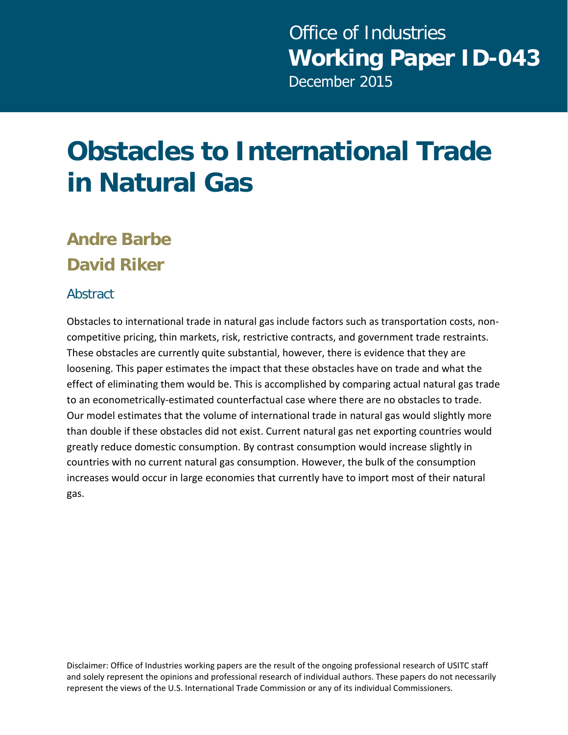# **Obstacles to International Trade in Natural Gas**

### **Andre Barbe David Riker**

#### **Abstract**

Obstacles to international trade in natural gas include factors such as transportation costs, noncompetitive pricing, thin markets, risk, restrictive contracts, and government trade restraints. These obstacles are currently quite substantial, however, there is evidence that they are loosening. This paper estimates the impact that these obstacles have on trade and what the effect of eliminating them would be. This is accomplished by comparing actual natural gas trade to an econometrically-estimated counterfactual case where there are no obstacles to trade. Our model estimates that the volume of international trade in natural gas would slightly more than double if these obstacles did not exist. Current natural gas net exporting countries would greatly reduce domestic consumption. By contrast consumption would increase slightly in countries with no current natural gas consumption. However, the bulk of the consumption increases would occur in large economies that currently have to import most of their natural gas.

Disclaimer: Office of Industries working papers are the result of the ongoing professional research of USITC staff and solely represent the opinions and professional research of individual authors. These papers do not necessarily represent the views of the U.S. International Trade Commission or any of its individual Commissioners.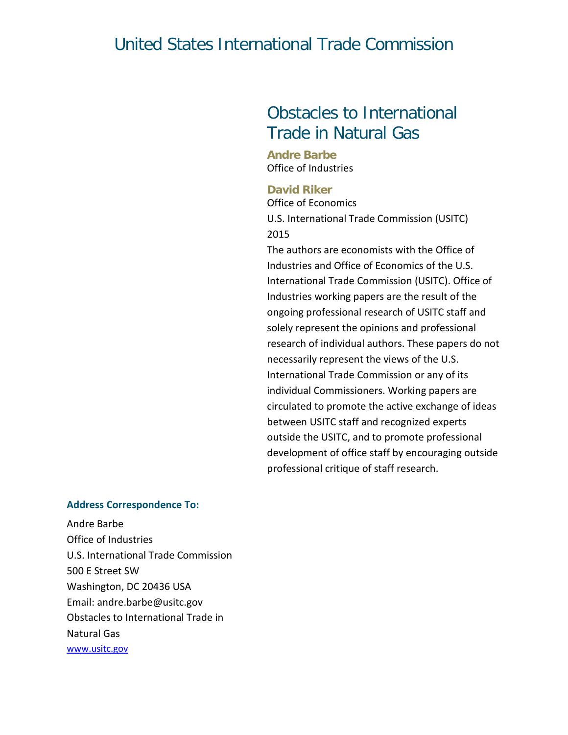#### United States International Trade Commission

#### Obstacles to International Trade in Natural Gas

**Andre Barbe** Office of Industries

#### **David Riker**

Office of Economics U.S. International Trade Commission (USITC) 2015

The authors are economists with the Office of Industries and Office of Economics of the U.S. International Trade Commission (USITC). Office of Industries working papers are the result of the ongoing professional research of USITC staff and solely represent the opinions and professional research of individual authors. These papers do not necessarily represent the views of the U.S. International Trade Commission or any of its individual Commissioners. Working papers are circulated to promote the active exchange of ideas between USITC staff and recognized experts outside the USITC, and to promote professional development of office staff by encouraging outside professional critique of staff research.

#### **Address Correspondence To:**

Andre Barbe Office of Industries U.S. International Trade Commission 500 E Street SW Washington, DC 20436 USA Email: andre.barbe@usitc.gov Obstacles to International Trade in Natural Gas [www.usitc.gov](http://www.usitc.gov/)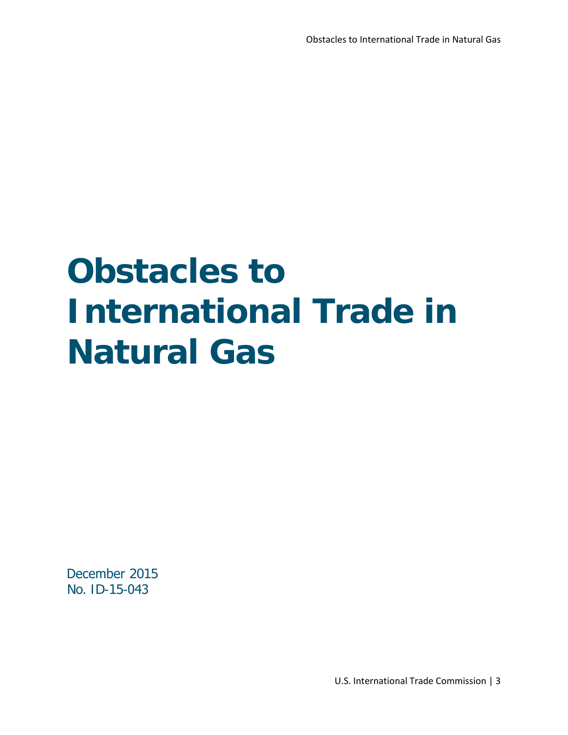# **Obstacles to International Trade in Natural Gas**

December 2015 No. ID-15-043

U.S. International Trade Commission | 3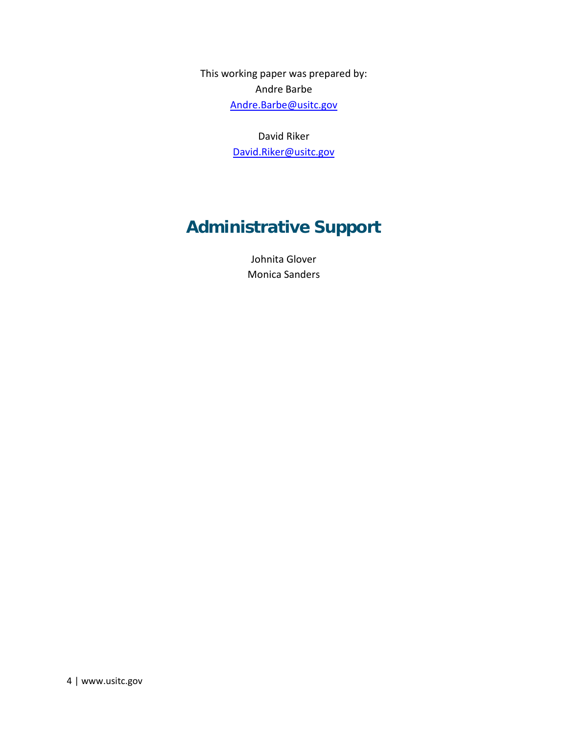This working paper was prepared by: Andre Barbe [Andre.Barbe@usitc.gov](mailto:Andre.Barbe@usitc.gov)

> David Riker [David.Riker@usitc.gov](mailto:David.Riker@usitc.gov)

### **Administrative Support**

Johnita Glover Monica Sanders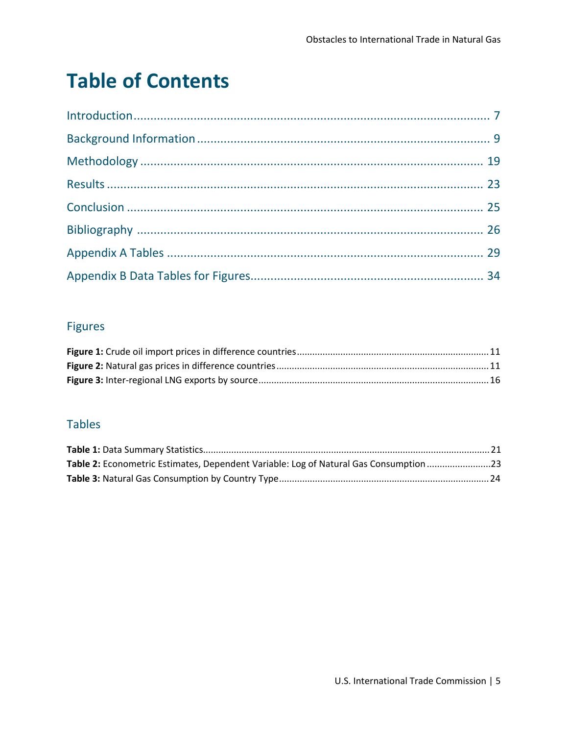## **Table of Contents**

#### **Figures**

#### **Tables**

| Table 2: Econometric Estimates, Dependent Variable: Log of Natural Gas Consumption 23 |  |
|---------------------------------------------------------------------------------------|--|
|                                                                                       |  |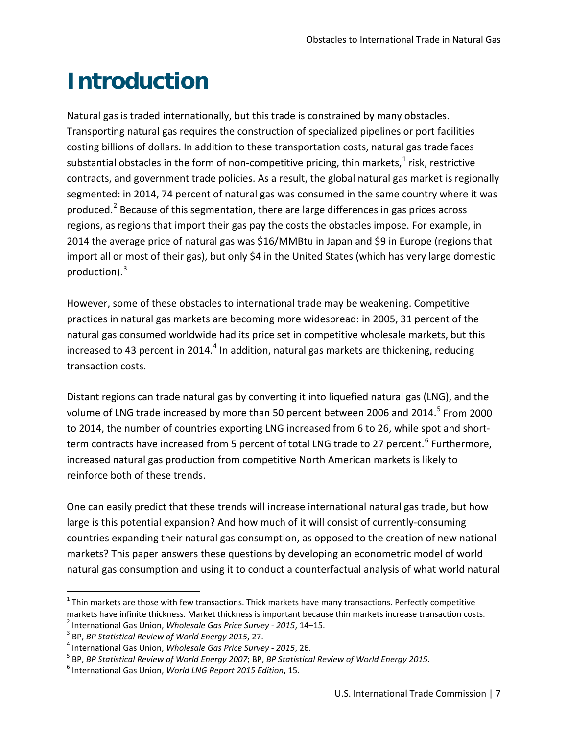# <span id="page-6-0"></span>**Introduction**

Natural gas is traded internationally, but this trade is constrained by many obstacles. Transporting natural gas requires the construction of specialized pipelines or port facilities costing billions of dollars. In addition to these transportation costs, natural gas trade faces substantial obstacles in the form of non-competitive pricing, thin markets, $1$  risk, restrictive contracts, and government trade policies. As a result, the global natural gas market is regionally segmented: in 2014, 74 percent of natural gas was consumed in the same country where it was produced.<sup>[2](#page-6-2)</sup> Because of this segmentation, there are large differences in gas prices across regions, as regions that import their gas pay the costs the obstacles impose. For example, in 2014 the average price of natural gas was \$16/MMBtu in Japan and \$9 in Europe (regions that import all or most of their gas), but only \$4 in the United States (which has very large domestic production). $3$ 

However, some of these obstacles to international trade may be weakening. Competitive practices in natural gas markets are becoming more widespread: in 2005, 31 percent of the natural gas consumed worldwide had its price set in competitive wholesale markets, but this increased to [4](#page-6-4)3 percent in 2014.<sup>4</sup> In addition, natural gas markets are thickening, reducing transaction costs.

Distant regions can trade natural gas by converting it into liquefied natural gas (LNG), and the volume of LNG trade increased by more than [5](#page-6-5)0 percent between 2006 and 2014.<sup>5</sup> From 2000 to 2014, the number of countries exporting LNG increased from 6 to 26, while spot and short-term contracts have increased from 5 percent of total LNG trade to 27 percent.<sup>[6](#page-6-6)</sup> Furthermore, increased natural gas production from competitive North American markets is likely to reinforce both of these trends.

One can easily predict that these trends will increase international natural gas trade, but how large is this potential expansion? And how much of it will consist of currently-consuming countries expanding their natural gas consumption, as opposed to the creation of new national markets? This paper answers these questions by developing an econometric model of world natural gas consumption and using it to conduct a counterfactual analysis of what world natural

<span id="page-6-1"></span> $1$  Thin markets are those with few transactions. Thick markets have many transactions. Perfectly competitive markets have infinite thickness. Market thickness is important because thin markets increase transaction costs.<br><sup>2</sup> International Gas Union, *Wholesale Gas Price Survey - 2015*, 14–15.

<span id="page-6-3"></span><span id="page-6-2"></span>

<span id="page-6-5"></span><span id="page-6-4"></span>

<sup>&</sup>lt;sup>3</sup> BP, *BP Statistical Review of World Energy 2015, 27.*<br><sup>4</sup> International Gas Union, *Wholesale Gas Price Survey - 2015, 26.*<br><sup>5</sup> BP, *BP Statistical Review of World Energy 2007; BP, BP Statistical Review of World Energ* 

<span id="page-6-6"></span>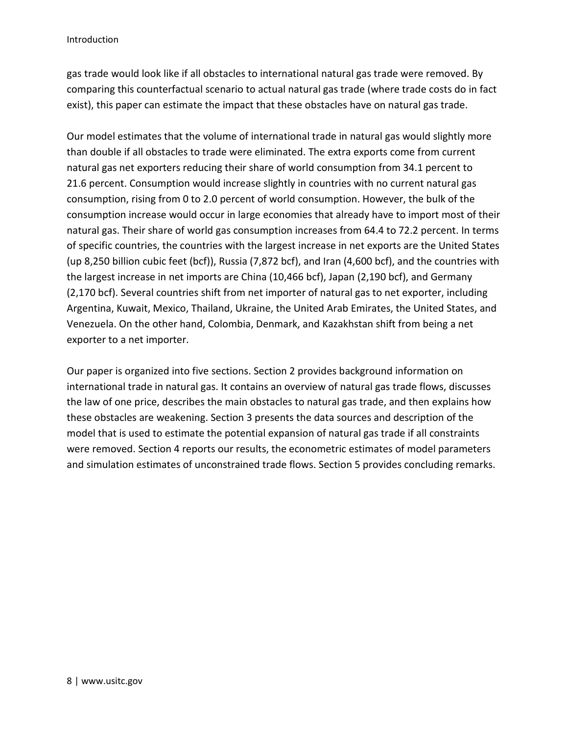gas trade would look like if all obstacles to international natural gas trade were removed. By comparing this counterfactual scenario to actual natural gas trade (where trade costs do in fact exist), this paper can estimate the impact that these obstacles have on natural gas trade.

Our model estimates that the volume of international trade in natural gas would slightly more than double if all obstacles to trade were eliminated. The extra exports come from current natural gas net exporters reducing their share of world consumption from 34.1 percent to 21.6 percent. Consumption would increase slightly in countries with no current natural gas consumption, rising from 0 to 2.0 percent of world consumption. However, the bulk of the consumption increase would occur in large economies that already have to import most of their natural gas. Their share of world gas consumption increases from 64.4 to 72.2 percent. In terms of specific countries, the countries with the largest increase in net exports are the United States (up 8,250 billion cubic feet (bcf)), Russia (7,872 bcf), and Iran (4,600 bcf), and the countries with the largest increase in net imports are China (10,466 bcf), Japan (2,190 bcf), and Germany (2,170 bcf). Several countries shift from net importer of natural gas to net exporter, including Argentina, Kuwait, Mexico, Thailand, Ukraine, the United Arab Emirates, the United States, and Venezuela. On the other hand, Colombia, Denmark, and Kazakhstan shift from being a net exporter to a net importer.

Our paper is organized into five sections. Section 2 provides background information on international trade in natural gas. It contains an overview of natural gas trade flows, discusses the law of one price, describes the main obstacles to natural gas trade, and then explains how these obstacles are weakening. Section 3 presents the data sources and description of the model that is used to estimate the potential expansion of natural gas trade if all constraints were removed. Section 4 reports our results, the econometric estimates of model parameters and simulation estimates of unconstrained trade flows. Section 5 provides concluding remarks.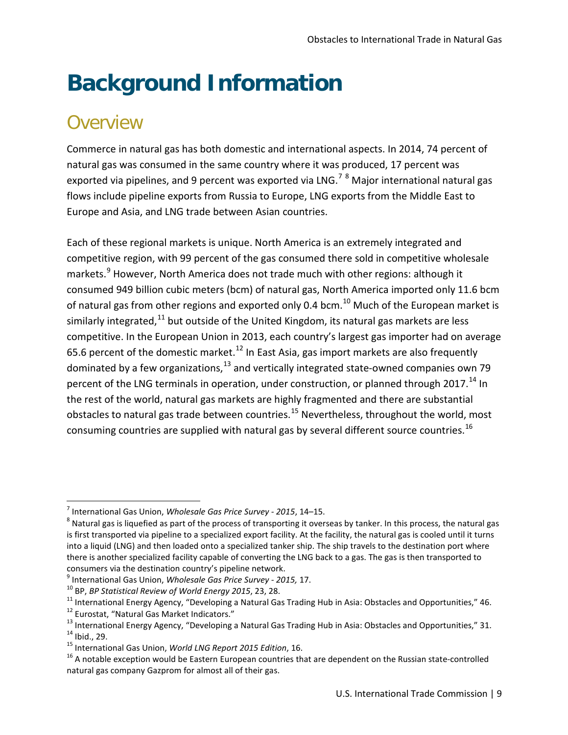# <span id="page-8-0"></span>**Background Information**

#### **Overview**

 $\overline{\phantom{a}}$ 

Commerce in natural gas has both domestic and international aspects. In 2014, 74 percent of natural gas was consumed in the same country where it was produced, 17 percent was exported via pipelines, and 9 percent was exported via LNG.<sup>[7](#page-8-1)</sup>  $8$  Major international natural gas flows include pipeline exports from Russia to Europe, LNG exports from the Middle East to Europe and Asia, and LNG trade between Asian countries.

Each of these regional markets is unique. North America is an extremely integrated and competitive region, with 99 percent of the gas consumed there sold in competitive wholesale markets.<sup>[9](#page-8-3)</sup> However, North America does not trade much with other regions: although it consumed 949 billion cubic meters (bcm) of natural gas, North America imported only 11.6 bcm of natural gas from other regions and exported only 0.4 bcm.<sup>[10](#page-8-4)</sup> Much of the European market is similarly integrated.<sup>[11](#page-8-5)</sup> but outside of the United Kingdom, its natural gas markets are less competitive. In the European Union in 2013, each country's largest gas importer had on average 65.6 percent of the domestic market.<sup>[12](#page-8-6)</sup> In East Asia, gas import markets are also frequently dominated by a few organizations,<sup>[13](#page-8-7)</sup> and vertically integrated state-owned companies own 79 percent of the LNG terminals in operation, under construction, or planned through 2017.<sup>14</sup> In the rest of the world, natural gas markets are highly fragmented and there are substantial obstacles to natural gas trade between countries.<sup>[15](#page-8-9)</sup> Nevertheless, throughout the world, most consuming countries are supplied with natural gas by several different source countries.<sup>[16](#page-8-10)</sup>

<span id="page-8-1"></span><sup>7</sup> International Gas Union, *Wholesale Gas Price Survey - 2015*, 14–15. <sup>8</sup>

<span id="page-8-2"></span> $8$  Natural gas is liquefied as part of the process of transporting it overseas by tanker. In this process, the natural gas is first transported via pipeline to a specialized export facility. At the facility, the natural gas is cooled until it turns into a liquid (LNG) and then loaded onto a specialized tanker ship. The ship travels to the destination port where there is another specialized facility capable of converting the LNG back to a gas. The gas is then transported to consumers via the destination country's pipeline network.

<span id="page-8-7"></span><span id="page-8-6"></span><span id="page-8-5"></span>

<span id="page-8-4"></span><span id="page-8-3"></span><sup>&</sup>lt;sup>9</sup> International Gas Union, *Wholesale Gas Price Survey - 2015, 17*.<br><sup>10</sup> BP, *BP Statistical Review of World Energy 2015, 23, 28*.<br><sup>11</sup> International Energy Agency, "Developing a Natural Gas Trading Hub in Asia: Obstacl

<span id="page-8-8"></span>

<span id="page-8-10"></span><span id="page-8-9"></span>natural gas company Gazprom for almost all of their gas.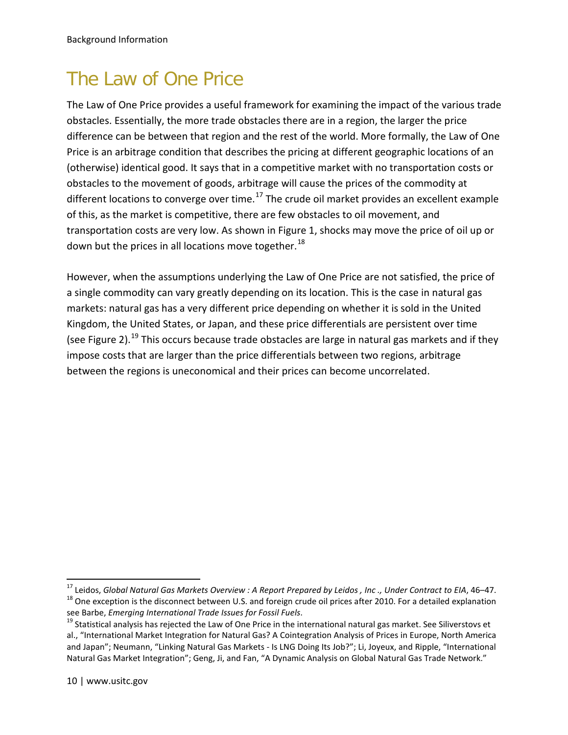### The Law of One Price

The Law of One Price provides a useful framework for examining the impact of the various trade obstacles. Essentially, the more trade obstacles there are in a region, the larger the price difference can be between that region and the rest of the world. More formally, the Law of One Price is an arbitrage condition that describes the pricing at different geographic locations of an (otherwise) identical good. It says that in a competitive market with no transportation costs or obstacles to the movement of goods, arbitrage will cause the prices of the commodity at different locations to converge over time.<sup>[17](#page-9-0)</sup> The crude oil market provides an excellent example of this, as the market is competitive, there are few obstacles to oil movement, and transportation costs are very low. As shown in Figure 1, shocks may move the price of oil up or down but the prices in all locations move together. $^{18}$  $^{18}$  $^{18}$ 

However, when the assumptions underlying the Law of One Price are not satisfied, the price of a single commodity can vary greatly depending on its location. This is the case in natural gas markets: natural gas has a very different price depending on whether it is sold in the United Kingdom, the United States, or Japan, and these price differentials are persistent over time (see Figure 2).<sup>[19](#page-9-2)</sup> This occurs because trade obstacles are large in natural gas markets and if they impose costs that are larger than the price differentials between two regions, arbitrage between the regions is uneconomical and their prices can become uncorrelated.

<span id="page-9-1"></span><span id="page-9-0"></span><sup>&</sup>lt;sup>17</sup> Leidos, *Global Natural Gas Markets Overview : A Report Prepared by Leidos , Inc., Under Contract to EIA, 46–47.<br><sup>18</sup> One exception is the disconnect between U.S. and foreign crude oil prices after 2010. For a detail* 

<span id="page-9-2"></span><sup>&</sup>lt;sup>19</sup> Statistical analysis has rejected the Law of One Price in the international natural gas market. See Siliverstovs et al., "International Market Integration for Natural Gas? A Cointegration Analysis of Prices in Europe, North America and Japan"; Neumann, "Linking Natural Gas Markets - Is LNG Doing Its Job?"; Li, Joyeux, and Ripple, "International Natural Gas Market Integration"; Geng, Ji, and Fan, "A Dynamic Analysis on Global Natural Gas Trade Network."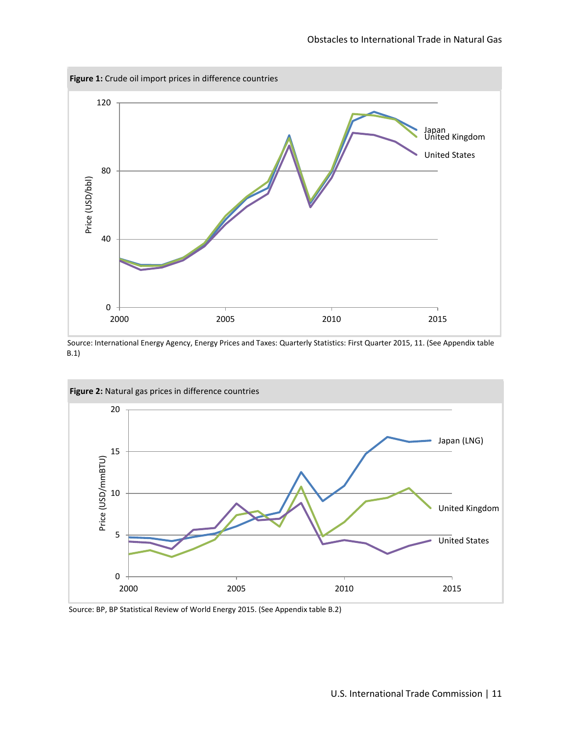<span id="page-10-0"></span>

Source: International Energy Agency, Energy Prices and Taxes: Quarterly Statistics: First Quarter 2015, 11. (See Appendix table B.1)

<span id="page-10-1"></span>

Source: BP, BP Statistical Review of World Energy 2015. (See Appendix table B.2)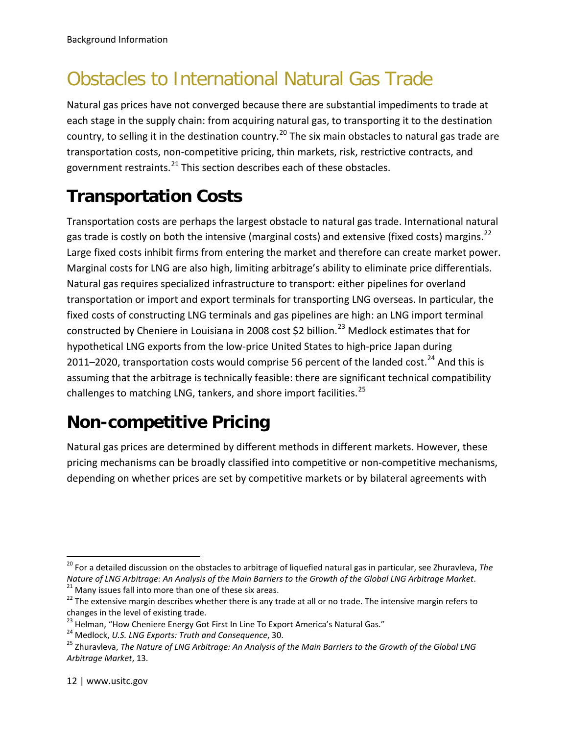### Obstacles to International Natural Gas Trade

Natural gas prices have not converged because there are substantial impediments to trade at each stage in the supply chain: from acquiring natural gas, to transporting it to the destination country, to selling it in the destination country.<sup>[20](#page-11-0)</sup> The six main obstacles to natural gas trade are transportation costs, non-competitive pricing, thin markets, risk, restrictive contracts, and government restraints.<sup>[21](#page-11-1)</sup> This section describes each of these obstacles.

#### **Transportation Costs**

Transportation costs are perhaps the largest obstacle to natural gas trade. International natural gas trade is costly on both the intensive (marginal costs) and extensive (fixed costs) margins.<sup>[22](#page-11-2)</sup> Large fixed costs inhibit firms from entering the market and therefore can create market power. Marginal costs for LNG are also high, limiting arbitrage's ability to eliminate price differentials. Natural gas requires specialized infrastructure to transport: either pipelines for overland transportation or import and export terminals for transporting LNG overseas. In particular, the fixed costs of constructing LNG terminals and gas pipelines are high: an LNG import terminal constructed by Cheniere in Louisiana in 2008 cost \$2 billion.<sup>[23](#page-11-3)</sup> Medlock estimates that for hypothetical LNG exports from the low-price United States to high-price Japan during 2011–2020, transportation costs would comprise 56 percent of the landed cost.<sup>[24](#page-11-4)</sup> And this is assuming that the arbitrage is technically feasible: there are significant technical compatibility challenges to matching LNG, tankers, and shore import facilities.<sup>[25](#page-11-5)</sup>

#### **Non-competitive Pricing**

Natural gas prices are determined by different methods in different markets. However, these pricing mechanisms can be broadly classified into competitive or non-competitive mechanisms, depending on whether prices are set by competitive markets or by bilateral agreements with

<span id="page-11-0"></span><sup>20</sup> For a detailed discussion on the obstacles to arbitrage of liquefied natural gas in particular, see Zhuravleva, *The*  Nature of LNG Arbitrage: An Analysis of the Main Barriers to the Growth of the Global LNG Arbitrage Market.<br><sup>21</sup> Many issues fall into more than one of these six areas.<br><sup>22</sup> The extensive margin describes whether there is

<span id="page-11-2"></span><span id="page-11-1"></span>changes in the level of existing trade.<br><sup>23</sup> Helman, "How Cheniere Energy Got First In Line To Export America's Natural Gas."

<span id="page-11-3"></span>

<span id="page-11-5"></span><span id="page-11-4"></span><sup>&</sup>lt;sup>24</sup> Medlock, U.S. LNG Exports: Truth and Consequence, 30.<br><sup>25</sup> Zhuravleva, The Nature of LNG Arbitrage: An Analysis of the Main Barriers to the Growth of the Global LNG *Arbitrage Market*, 13.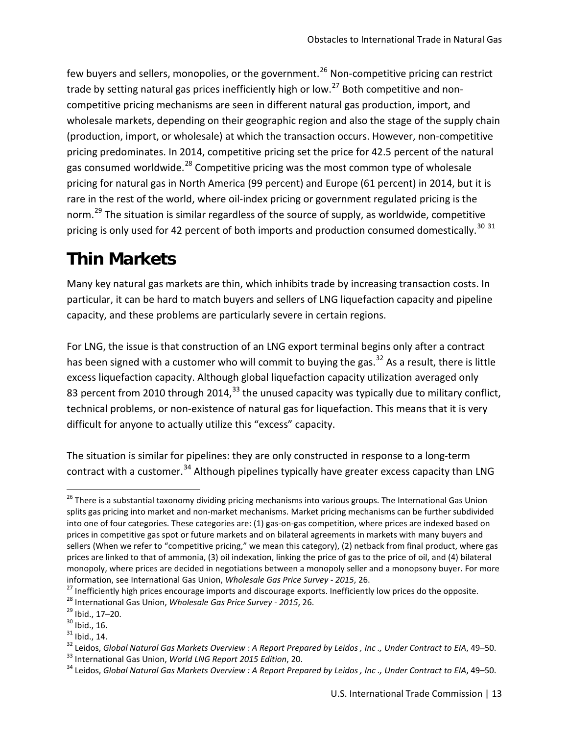few buyers and sellers, monopolies, or the government.<sup>[26](#page-12-0)</sup> Non-competitive pricing can restrict trade by setting natural gas prices inefficiently high or low.<sup>[27](#page-12-1)</sup> Both competitive and noncompetitive pricing mechanisms are seen in different natural gas production, import, and wholesale markets, depending on their geographic region and also the stage of the supply chain (production, import, or wholesale) at which the transaction occurs. However, non-competitive pricing predominates. In 2014, competitive pricing set the price for 42.5 percent of the natural gas consumed worldwide.<sup>[28](#page-12-2)</sup> Competitive pricing was the most common type of wholesale pricing for natural gas in North America (99 percent) and Europe (61 percent) in 2014, but it is rare in the rest of the world, where oil-index pricing or government regulated pricing is the norm.<sup>[29](#page-12-3)</sup> The situation is similar regardless of the source of supply, as worldwide, competitive pricing is only used for 42 percent of both imports and production consumed domestically.<sup>[30](#page-12-4) [31](#page-12-5)</sup>

#### **Thin Markets**

Many key natural gas markets are thin, which inhibits trade by increasing transaction costs. In particular, it can be hard to match buyers and sellers of LNG liquefaction capacity and pipeline capacity, and these problems are particularly severe in certain regions.

For LNG, the issue is that construction of an LNG export terminal begins only after a contract has been signed with a customer who will commit to buying the gas.<sup>[32](#page-12-6)</sup> As a result, there is little excess liquefaction capacity. Although global liquefaction capacity utilization averaged only 83 percent from 2010 through 2014,  $33$  the unused capacity was typically due to military conflict, technical problems, or non-existence of natural gas for liquefaction. This means that it is very difficult for anyone to actually utilize this "excess" capacity.

The situation is similar for pipelines: they are only constructed in response to a long-term contract with a customer.<sup>[34](#page-12-8)</sup> Although pipelines typically have greater excess capacity than LNG

<span id="page-12-0"></span><sup>&</sup>lt;sup>26</sup> There is a substantial taxonomy dividing pricing mechanisms into various groups. The International Gas Union splits gas pricing into market and non-market mechanisms. Market pricing mechanisms can be further subdivided into one of four categories. These categories are: (1) gas-on-gas competition, where prices are indexed based on prices in competitive gas spot or future markets and on bilateral agreements in markets with many buyers and sellers (When we refer to "competitive pricing," we mean this category), (2) netback from final product, where gas prices are linked to that of ammonia, (3) oil indexation, linking the price of gas to the price of oil, and (4) bilateral monopoly, where prices are decided in negotiations between a monopoly seller and a monopsony buyer. For more

<span id="page-12-3"></span><span id="page-12-2"></span>

<span id="page-12-4"></span>

<span id="page-12-6"></span><span id="page-12-5"></span>

<span id="page-12-1"></span>information, see International Gas Union, Wholesale Gas Price Survey - 2015, 26.<br>
<sup>27</sup> Inefficiently high prices encourage imports and discourage exports. Inefficiently low prices do the opposite.<br>
<sup>28</sup> International Gas U

<span id="page-12-7"></span>

<span id="page-12-8"></span>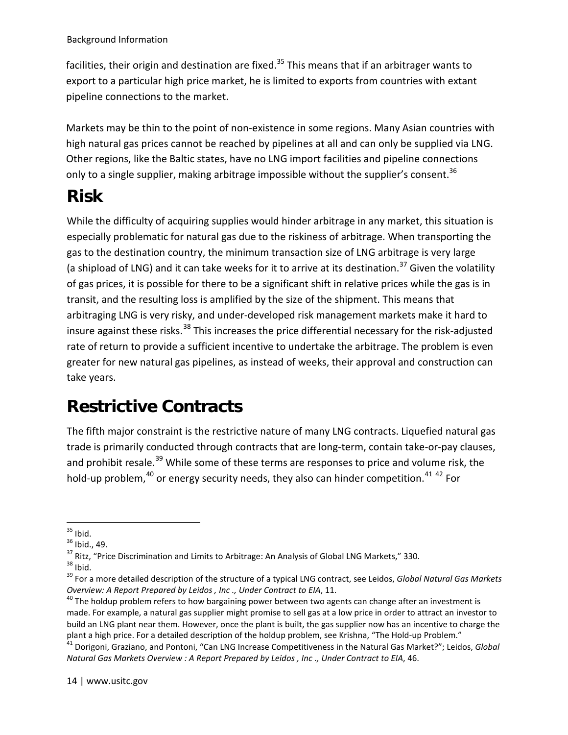facilities, their origin and destination are fixed.<sup>[35](#page-13-0)</sup> This means that if an arbitrager wants to export to a particular high price market, he is limited to exports from countries with extant pipeline connections to the market.

Markets may be thin to the point of non-existence in some regions. Many Asian countries with high natural gas prices cannot be reached by pipelines at all and can only be supplied via LNG. Other regions, like the Baltic states, have no LNG import facilities and pipeline c[on](#page-13-1)nections only to a single supplier, making arbitrage impossible without the supplier's consent.  $36$ 

#### **Risk**

While the difficulty of acquiring supplies would hinder arbitrage in any market, this situation is especially problematic for natural gas due to the riskiness of arbitrage. When transporting the gas to the destination country, the minimum transaction size of LNG arbitrage is very large (a shipload of LNG) and it can take weeks for it to arrive at its destination.<sup>[37](#page-13-2)</sup> Given the volatility of gas prices, it is possible for there to be a significant shift in relative prices while the gas is in transit, and the resulting loss is amplified by the size of the shipment. This means that arbitraging LNG is very risky, and under-developed risk management markets make it hard to insure against these risks.<sup>[38](#page-13-3)</sup> This increases the price differential necessary for the risk-adjusted rate of return to provide a sufficient incentive to undertake the arbitrage. The problem is even greater for new natural gas pipelines, as instead of weeks, their approval and construction can take years.

### **Restrictive Contracts**

The fifth major constraint is the restrictive nature of many LNG contracts. Liquefied natural gas trade is primarily conducted through contracts that are long-term, contain take-or-pay clauses, and prohibit resale.<sup>[39](#page-13-4)</sup> While some of these terms are responses to price and volume risk, the hold-up problem, $40$  or energy security needs, they also can hinder competition.  $41$   $42$  For

14 | www.usitc.gov

<span id="page-13-2"></span>

<span id="page-13-4"></span><span id="page-13-3"></span>

<span id="page-13-7"></span><span id="page-13-1"></span><span id="page-13-0"></span><sup>&</sup>lt;sup>35</sup> Ibid.<br><sup>36</sup> Ibid., 49.<br><sup>37</sup> Ritz, "Price Discrimination and Limits to Arbitrage: An Analysis of Global LNG Markets," 330.<br><sup>37</sup> Ritz, "Price Discrimination and Limits to Arbitrage: An Analysis of Global LNG Markets," 33 *Overview: A Report Prepared by Leidos, Inc., Under Contract to EIA, 11.*<br><sup>40</sup> The holdup problem refers to how bargaining power between two agents can change after an investment is

<span id="page-13-5"></span>made. For example, a natural gas supplier might promise to sell gas at a low price in order to attract an investor to build an LNG plant near them. However, once the plant is built, the gas supplier now has an incentive to charge the<br>plant a high price. For a detailed description of the holdup problem, see Krishna, "The Hold-up Problem."

<span id="page-13-6"></span><sup>&</sup>lt;sup>41</sup> Dorigoni, Graziano, and Pontoni, "Can LNG Increase Competitiveness in the Natural Gas Market?"; Leidos, Global *Natural Gas Markets Overview : A Report Prepared by Leidos , Inc ., Under Contract to EIA*, 46.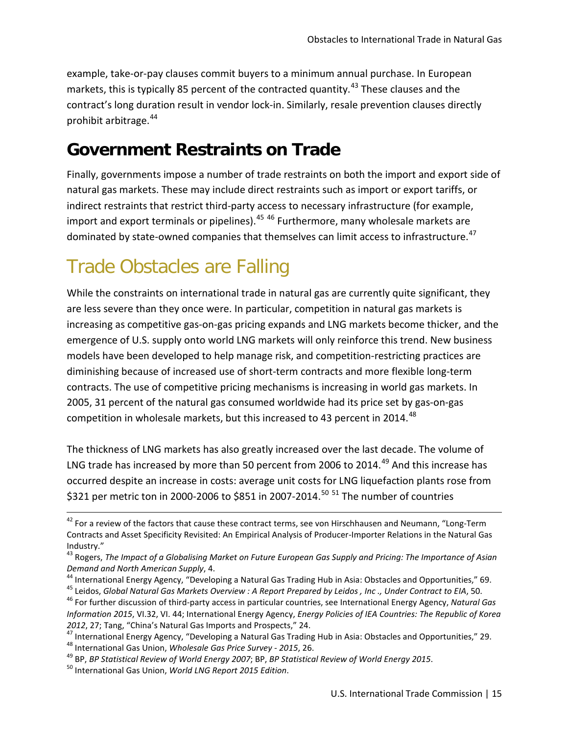example, take-or-pay clauses commit buyers to a minimum annual purchase. In European markets, this is typically 85 percent of the contracted quantity.<sup>[43](#page-14-0)</sup> These clauses and the contract's long duration result in vendor lock-in. Similarly, resale prevention clauses directly prohibit arbitrage.[44](#page-14-1)

#### **Government Restraints on Trade**

Finally, governments impose a number of trade restraints on both the import and export side of natural gas markets. These may include direct restraints such as import or export tariffs, or indirect restraints that restrict third-party access to necessary infrastructure (for example, import and export terminals or pipelines). $45\frac{46}{1}$  $45\frac{46}{1}$  $45\frac{46}{1}$  $45\frac{46}{1}$  Furthermore, many wholesale markets are dominated by state-owned companies that themselves can limit access to infrastructure.<sup>[47](#page-14-4)</sup>

### Trade Obstacles are Falling

While the constraints on international trade in natural gas are currently quite significant, they are less severe than they once were. In particular, competition in natural gas markets is increasing as competitive gas-on-gas pricing expands and LNG markets become thicker, and the emergence of U.S. supply onto world LNG markets will only reinforce this trend. New business models have been developed to help manage risk, and competition-restricting practices are diminishing because of increased use of short-term contracts and more flexible long-term contracts. The use of competitive pricing mechanisms is increasing in world gas markets. In 2005, 31 percent of the natural gas consumed worldwide had its price set by gas-on-gas competition in wholesale markets, but this increased to 43 percent in 2014.<sup>[48](#page-14-5)</sup>

The thickness of LNG markets has also greatly increased over the last decade. The volume of LNG trade has increased by more than 50 percent from 2006 to 2014.<sup>[49](#page-14-6)</sup> And this increase has occurred despite an increase in costs: average unit costs for LNG liquefaction plants rose from \$321 per metric ton in 2000-2006 to \$851 in 2007-2014.<sup>[50](#page-14-7) [51](#page-14-8)</sup> The number of countries

<span id="page-14-1"></span>

<span id="page-14-4"></span>2012, 27; Tang, "China's Natural Gas Imports and Prospects," 24.<br>
<sup>47</sup> International Energy Agency, "Developing a Natural Gas Trading Hub in Asia: Obstacles and Opportunities," 29.<br>
<sup>48</sup> International Gas Union, *Wholesale* 

<span id="page-14-6"></span>

<sup>&</sup>lt;sup>42</sup> For a review of the factors that cause these contract terms, see von Hirschhausen and Neumann, "Long-Term Contracts and Asset Specificity Revisited: An Empirical Analysis of Producer-Importer Relations in the Natural Gas Industry."

<span id="page-14-8"></span><span id="page-14-0"></span><sup>43</sup> Rogers, *The Impact of a Globalising Market on Future European Gas Supply and Pricing: The Importance of Asian* 

Demand and North American Supply, 4.<br><sup>44</sup> International Energy Agency, "Developing a Natural Gas Trading Hub in Asia: Obstacles and Opportunities," 69.<br><sup>45</sup> Leidos, *Global Natural Gas Markets Overview : A Report Prepared* 

<span id="page-14-3"></span><span id="page-14-2"></span>*Information 2015*, VI.32, VI. 44; International Energy Agency, *Energy Policies of IEA Countries: The Republic of Korea* 

<span id="page-14-5"></span>

<span id="page-14-7"></span>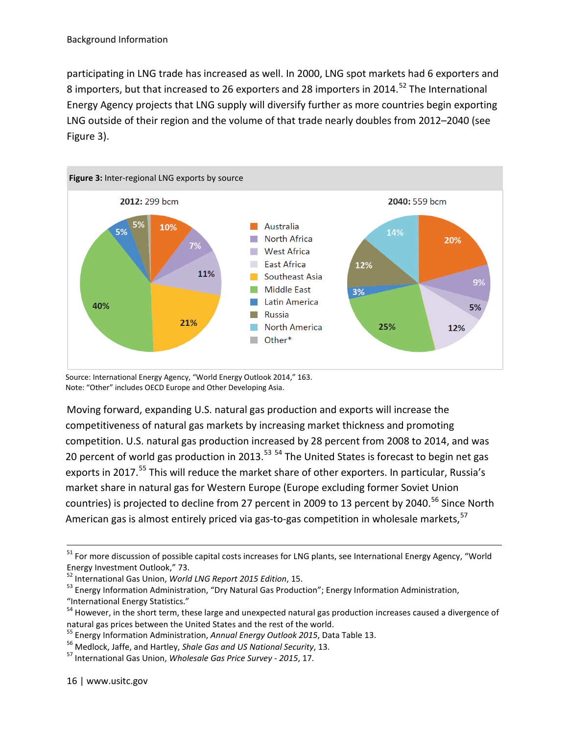participating in LNG trade has increased as well. In 2000, LNG spot markets had 6 exporters and 8 importers, but that increased to 26 exporters and 28 importers in 2014.<sup>[52](#page-15-1)</sup> The International Energy Agency projects that LNG supply will diversify further as more countries begin exporting LNG outside of their region and the volume of that trade nearly doubles from 2012–2040 (see Figure 3).

<span id="page-15-0"></span>

Source: International Energy Agency, "World Energy Outlook 2014," 163. Note: "Other" includes OECD Europe and Other Developing Asia.

Moving forward, expanding U.S. natural gas production and exports will increase the competitiveness of natural gas markets by increasing market thickness and promoting competition. U.S. natural gas production increased by 28 percent from 2008 to 2014, and was 20 percent of world gas production in 2013.<sup>[53](#page-15-2) [54](#page-15-3)</sup> The United States is forecast to begin net gas exports in 2017.<sup>[55](#page-15-4)</sup> This will reduce the market share of other exporters. In particular, Russia's market share in natural gas for Western Europe (Europe excluding former Soviet Union countries) is projected to decline from 27 percent in 2009 to 13 percent by 2040.<sup>[56](#page-15-5)</sup> Since North American gas is almost entirely priced via gas-to-gas competition in wholesale markets.<sup>[57](#page-15-6)</sup>

<sup>&</sup>lt;sup>51</sup> For more discussion of possible capital costs increases for LNG plants, see International Energy Agency, "World Energy Investment Outlook," 73.<br><sup>52</sup> International Gas Union, World LNG Report 2015 Edition, 15.

<span id="page-15-1"></span>

<span id="page-15-2"></span><sup>&</sup>lt;sup>53</sup> Energy Information Administration, "Dry Natural Gas Production"; Energy Information Administration, "International Energy Statistics."

<span id="page-15-3"></span> $54$  However, in the short term, these large and unexpected natural gas production increases caused a divergence of natural gas prices between the United States and the rest of the world.

<span id="page-15-4"></span><sup>&</sup>lt;sup>55</sup> Energy Information Administration, Annual Energy Outlook 2015, Data Table 13.<br><sup>56</sup> Medlock, Jaffe, and Hartley, *Shale Gas and US National Security*, 13.<br><sup>57</sup> International Gas Union, *Wholesale Gas Price Survey - 201* 

<span id="page-15-5"></span>

<span id="page-15-6"></span>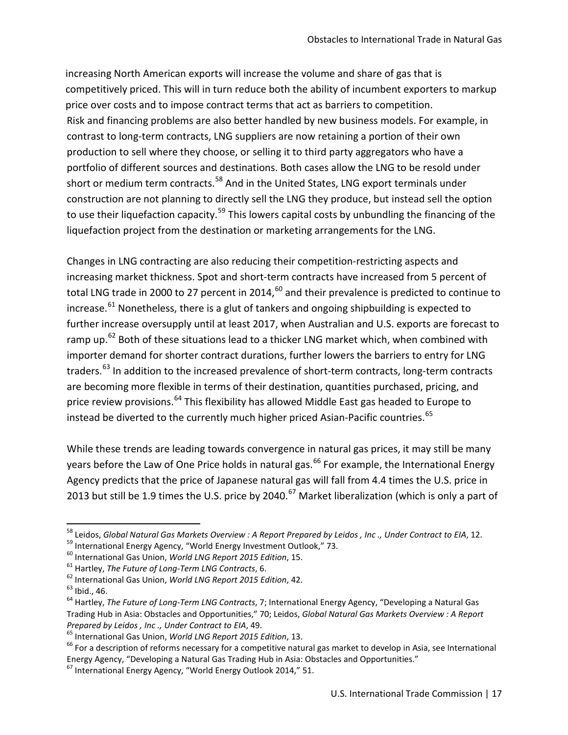increasing North American exports will increase the volume and share of gas that is competitively priced. This will in turn reduce both the ability of incumbent exporters to markup price over costs and to impose contract terms that act as barriers to competition. Risk and financing problems are also better handled by new business models. For example, in contrast to long-term contracts, LNG suppliers are now retaining a portion of their own production to sell where they choose, or selling it to third party aggregators who have a portfolio of different sources and destinations. Both cases allow the LNG to be resold under short or medium term contracts.<sup>[58](#page-16-0)</sup> And in the United States, LNG export terminals under construction are not planning to directly sell the LNG they produce, but instead sell the option to use their liquefaction capacity.<sup>[59](#page-16-1)</sup> This lowers capital costs by unbundling the financing of the liquefaction project from the destination or marketing arrangements for the LNG.

Changes in LNG contracting are also reducing their competition-restricting aspects and increasing market thickness. Spot and short-term contracts have increased from 5 percent of total LNG trade in 2000 to 27 percent in 2014, $^{60}$  $^{60}$  $^{60}$  and their prevalence is predicted to continue to increase. $^{61}$  $^{61}$  $^{61}$  Nonetheless, there is a glut of tankers and ongoing shipbuilding is expected to further increase oversupply until at least 2017, when Australian and U.S. exports are forecast to ramp up. $^{62}$  $^{62}$  $^{62}$  Both of these situations lead to a thicker LNG market which, when combined with importer demand for shorter contract durations, further lowers the barriers to entry for LNG traders.<sup>[63](#page-16-5)</sup> In addition to the increased prevalence of short-term contracts, long-term contracts are becoming more flexible in terms of their destination, quantities purchased, pricing, and price review provisions.<sup>[64](#page-16-6)</sup> This flexibility has allowed Middle East gas headed to Europe to instead be diverted to the currently much higher priced Asian-Pacific countries.<sup>[65](#page-16-7)</sup>

While these trends are leading towards convergence in natural gas prices, it may still be many vears before the Law of One Price holds in natural gas.<sup>[66](#page-16-8)</sup> For example, the International Energy Agency predicts that the price of Japanese natural gas will fall from 4.4 times the U.S. price in 2013 but still be 1.9 times the U.S. price by 2040.<sup>[67](#page-16-9)</sup> Market liberalization (which is only a part of

<span id="page-16-1"></span><span id="page-16-0"></span><sup>&</sup>lt;sup>58</sup> Leidos, *Global Natural Gas Markets Overview : A Report Prepared by Leidos, Inc., Under Contract to EIA, 12.<br><sup>59</sup> International Energy Agency, "World Energy Investment Outlook," 73.<br><sup>60</sup> International Gas Union, <i>Wor* 

<span id="page-16-2"></span>

<span id="page-16-3"></span>

<span id="page-16-4"></span>

<span id="page-16-6"></span><span id="page-16-5"></span>Trading Hub in Asia: Obstacles and Opportunities," 70; Leidos, *Global Natural Gas Markets Overview : A Report* 

<span id="page-16-8"></span>

<span id="page-16-7"></span>Prepared by Leidos, Inc., Under Contract to EIA, 49.<br><sup>65</sup> International Gas Union, World LNG Report 2015 Edition, 13.<br><sup>66</sup> For a description of reforms necessary for a competitive natural gas market to develop in Asia, see Energy Agency, "Developing a Natural Gas Trading Hub in Asia: Obstacles and Opportunities."<br><sup>67</sup> International Energy Agency, "World Energy Outlook 2014," 51.

<span id="page-16-9"></span>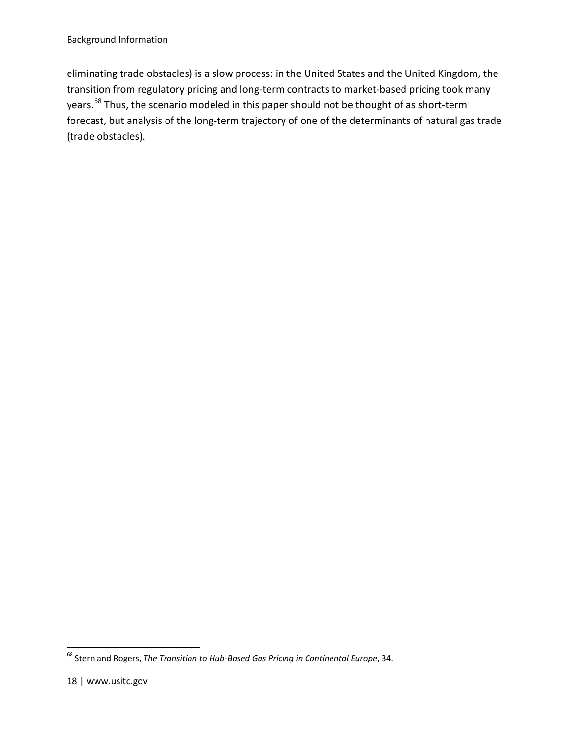eliminating trade obstacles) is a slow process: in the United States and the United Kingdom, the transition from regulatory pricing and long-term contracts to market-based pricing took many years.<sup>[68](#page-17-0)</sup> Thus, the scenario modeled in this paper should not be thought of as short-term forecast, but analysis of the long-term trajectory of one of the determinants of natural gas trade (trade obstacles).

<span id="page-17-0"></span><sup>68</sup> Stern and Rogers, *The Transition to Hub-Based Gas Pricing in Continental Europe*, 34.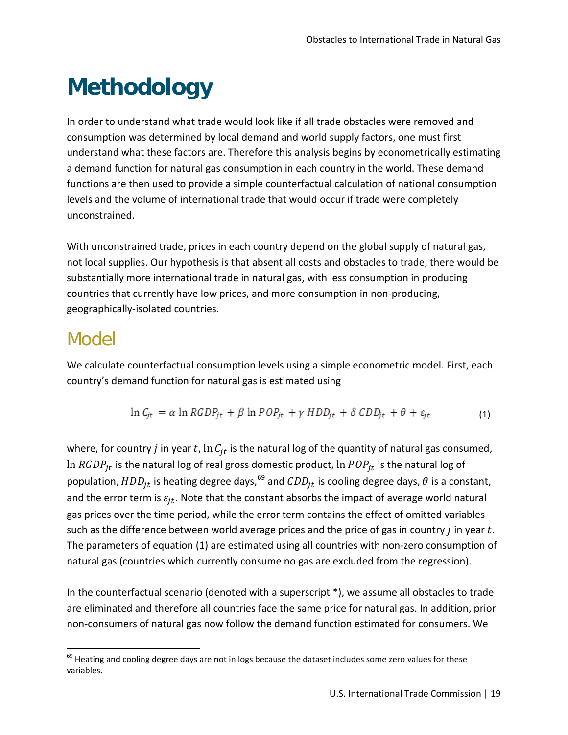# <span id="page-18-0"></span>**Methodology**

In order to understand what trade would look like if all trade obstacles were removed and consumption was determined by local demand and world supply factors, one must first understand what these factors are. Therefore this analysis begins by econometrically estimating a demand function for natural gas consumption in each country in the world. These demand functions are then used to provide a simple counterfactual calculation of national consumption levels and the volume of international trade that would occur if trade were completely unconstrained.

With unconstrained trade, prices in each country depend on the global supply of natural gas, not local supplies. Our hypothesis is that absent all costs and obstacles to trade, there would be substantially more international trade in natural gas, with less consumption in producing countries that currently have low prices, and more consumption in non-producing, geographically-isolated countries.

#### Model

We calculate counterfactual consumption levels using a simple econometric model. First, each country's demand function for natural gas is estimated using

$$
\ln C_{jt} = \alpha \ln RGDP_{jt} + \beta \ln POP_{jt} + \gamma HDD_{jt} + \delta CDD_{jt} + \theta + \varepsilon_{jt}
$$
\n(1)

where, for country *j* in year t,  $\ln C_{it}$  is the natural log of the quantity of natural gas consumed, In  $RGDP_{it}$  is the natural log of real gross domestic product, ln  $POP_{it}$  is the natural log of population,  $HDD_{jt}$  is heating degree days,  $^{69}$  $^{69}$  $^{69}$  and  $CDD_{jt}$  is cooling degree days,  $\theta$  is a constant, and the error term is  $\varepsilon_{it}$ . Note that the constant absorbs the impact of average world natural gas prices over the time period, while the error term contains the effect of omitted variables such as the difference between world average prices and the price of gas in country  $j$  in year  $t$ . The parameters of equation (1) are estimated using all countries with non-zero consumption of natural gas (countries which currently consume no gas are excluded from the regression).

In the counterfactual scenario (denoted with a superscript \*), we assume all obstacles to trade are eliminated and therefore all countries face the same price for natural gas. In addition, prior non-consumers of natural gas now follow the demand function estimated for consumers. We

<span id="page-18-1"></span> $^{69}$  Heating and cooling degree days are not in logs because the dataset includes some zero values for these variables.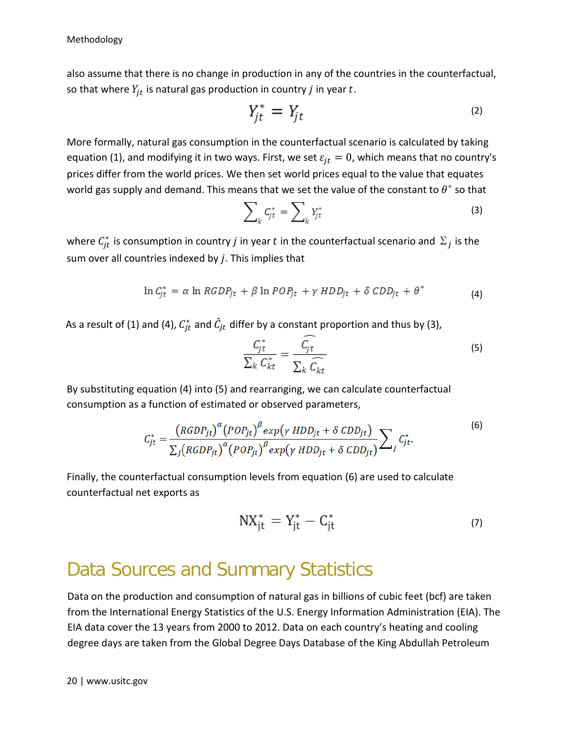also assume that there is no change in production in any of the countries in the counterfactual, so that where  $Y_{it}$  is natural gas production in country *j* in year  $t$ .

$$
Y_{jt}^* = Y_{jt} \tag{2}
$$

More formally, natural gas consumption in the counterfactual scenario is calculated by taking equation (1), and modifying it in two ways. First, we set  $\varepsilon_{it} = 0$ , which means that no country's prices differ from the world prices. We then set world prices equal to the value that equates world gas supply and demand. This means that we set the value of the constant to  $\theta^*$  so that

$$
\sum_{k} C_{jt}^* = \sum_{k} Y_{jt}^* \tag{3}
$$

where  $\mathcal{C}_{jt}^*$  is consumption in country  $j$  in year  $t$  in the counterfactual scenario and  $\mathfrak{\Sigma}_j$  is the sum over all countries indexed by  $i$ . This implies that

$$
\ln C_{jt}^* = \alpha \ln RGDP_{jt} + \beta \ln POP_{jt} + \gamma HDD_{jt} + \delta CDD_{jt} + \theta^* \tag{4}
$$

As a result of (1) and (4),  $C_{jt}^*$  and  $\hat{C}_{jt}$  differ by a constant proportion and thus by (3),

$$
\frac{C_{jt}^*}{\sum_k C_{kt}^*} = \frac{C_{jt}}{\sum_k \widehat{C_{kt}}} \tag{5}
$$

By substituting equation (4) into (5) and rearranging, we can calculate counterfactual consumption as a function of estimated or observed parameters,

$$
C_{jt}^* = \frac{(RGDP_{jt})^{\alpha} (POP_{jt})^{\beta} exp(\gamma HDD_{jt} + \delta CDD_{jt})}{\sum_j (RGDP_{jt})^{\alpha} (POP_{jt})^{\beta} exp(\gamma HDD_{jt} + \delta CDD_{jt})} \sum_j C_{jt}^*.
$$
\n(6)

Finally, the counterfactual consumption levels from equation (6) are used to calculate counterfactual net exports as

$$
NX_{jt}^* = Y_{jt}^* - C_{jt}^*
$$
\n<sup>(7)</sup>

#### Data Sources and Summary Statistics

Data on the production and consumption of natural gas in billions of cubic feet (bcf) are taken from the International Energy Statistics of the U.S. Energy Information Administration (EIA). The EIA data cover the 13 years from 2000 to 2012. Data on each country's heating and cooling degree days are taken from the Global Degree Days Database of the King Abdullah Petroleum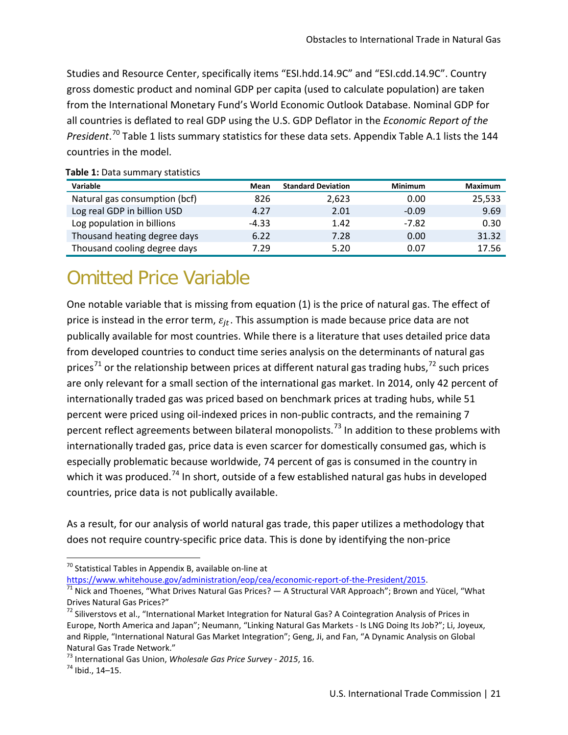Studies and Resource Center, specifically items "ESI.hdd.14.9C" and "ESI.cdd.14.9C". Country gross domestic product and nominal GDP per capita (used to calculate population) are taken from the International Monetary Fund's World Economic Outlook Database. Nominal GDP for all countries is deflated to real GDP using the U.S. GDP Deflator in the *Economic Report of the President*. [70](#page-20-1) [Table 1](#page-20-0) lists summary statistics for these data sets. Appendix Table A.1 lists the 144 countries in the model.

| Variable                      | Mean    | <b>Standard Deviation</b> | <b>Minimum</b> | <b>Maximum</b> |
|-------------------------------|---------|---------------------------|----------------|----------------|
| Natural gas consumption (bcf) | 826     | 2,623                     | 0.00           | 25,533         |
| Log real GDP in billion USD   | 4.27    | 2.01                      | $-0.09$        | 9.69           |
| Log population in billions    | $-4.33$ | 1.42                      | $-7.82$        | 0.30           |
| Thousand heating degree days  | 6.22    | 7.28                      | 0.00           | 31.32          |
| Thousand cooling degree days  | 7.29    | 5.20                      | 0.07           | 17.56          |

#### <span id="page-20-0"></span>**Table 1:** Data summary statistics

### Omitted Price Variable

One notable variable that is missing from equation (1) is the price of natural gas. The effect of price is instead in the error term,  $\varepsilon_{it}$ . This assumption is made because price data are not publically available for most countries. While there is a literature that uses detailed price data from developed countries to conduct time series analysis on the determinants of natural gas prices<sup>[71](#page-20-2)</sup> or the relationship between prices at different natural gas trading hubs,  $72$  such prices are only relevant for a small section of the international gas market. In 2014, only 42 percent of internationally traded gas was priced based on benchmark prices at trading hubs, while 51 percent were priced using oil-indexed prices in non-public contracts, and the remaining 7 percent reflect agreements between bilateral monopolists.<sup>[73](#page-20-4)</sup> In addition to these problems with internationally traded gas, price data is even scarcer for domestically consumed gas, which is especially problematic because worldwide, 74 percent of gas is consumed in the country in which it was produced.<sup>[74](#page-20-5)</sup> In short, outside of a few established natural gas hubs in developed countries, price data is not publically available.

As a result, for our analysis of world natural gas trade, this paper utilizes a methodology that does not require country-specific price data. This is done by identifying the non-price

<span id="page-20-1"></span><sup>70</sup> Statistical Tables in Appendix B, available on-line at  $https://www.whitehouse.gov/administration/eop/cea/economic-report-of-the-President/2015.$ 

l

<span id="page-20-2"></span> $\frac{1}{71}$  $\frac{1}{71}$  $\frac{1}{71}$  Nick and Thoenes, "What Drives Natural Gas Prices? — A Structural VAR Approach"; Brown and Yücel, "What Drives Natural Gas Prices?"

<span id="page-20-3"></span> $^{72}$  Siliverstovs et al., "International Market Integration for Natural Gas? A Cointegration Analysis of Prices in Europe, North America and Japan"; Neumann, "Linking Natural Gas Markets - Is LNG Doing Its Job?"; Li, Joyeux, and Ripple, "International Natural Gas Market Integration"; Geng, Ji, and Fan, "A Dynamic Analysis on Global Natural Gas Trade Network."

<span id="page-20-5"></span><span id="page-20-4"></span><sup>73</sup> International Gas Union, *Wholesale Gas Price Survey - 2015*, 16. <sup>74</sup> Ibid., 14–15.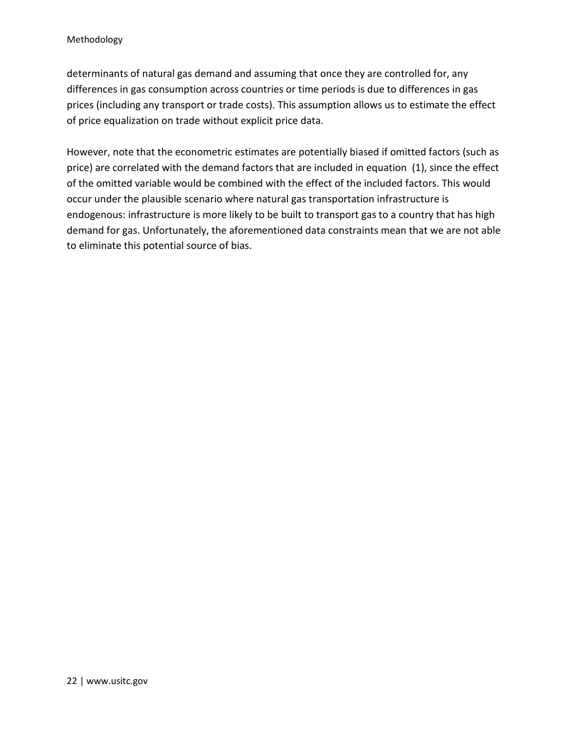determinants of natural gas demand and assuming that once they are controlled for, any differences in gas consumption across countries or time periods is due to differences in gas prices (including any transport or trade costs). This assumption allows us to estimate the effect of price equalization on trade without explicit price data.

However, note that the econometric estimates are potentially biased if omitted factors (such as price) are correlated with the demand factors that are included in equation (1), since the effect of the omitted variable would be combined with the effect of the included factors. This would occur under the plausible scenario where natural gas transportation infrastructure is endogenous: infrastructure is more likely to be built to transport gas to a country that has high demand for gas. Unfortunately, the aforementioned data constraints mean that we are not able to eliminate this potential source of bias.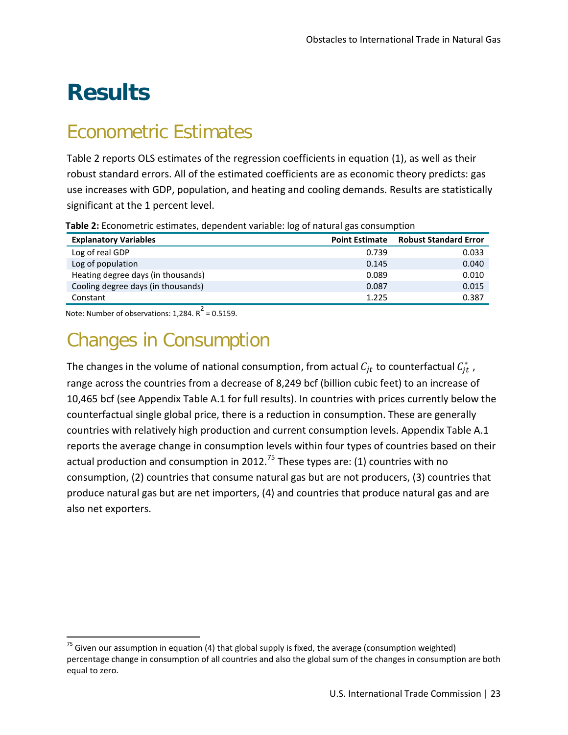# <span id="page-22-0"></span>**Results**

### Econometric Estimates

Table 2 reports OLS estimates of the regression coefficients in equation (1), as well as their robust standard errors. All of the estimated coefficients are as economic theory predicts: gas use increases with GDP, population, and heating and cooling demands. Results are statistically significant at the 1 percent level.

| <b>Explanatory Variables</b>       | <b>Point Estimate</b> | <b>Robust Standard Error</b> |  |  |
|------------------------------------|-----------------------|------------------------------|--|--|
| Log of real GDP                    | 0.739                 | 0.033                        |  |  |
| Log of population                  | 0.145                 | 0.040                        |  |  |
| Heating degree days (in thousands) | 0.089                 | 0.010                        |  |  |
| Cooling degree days (in thousands) | 0.087                 | 0.015                        |  |  |
| Constant                           | 1.225                 | 0.387                        |  |  |

<span id="page-22-1"></span>**Table 2:** Econometric estimates, dependent variable: log of natural gas consumption

Note: Number of observations: 1.284.  $R^2$  = 0.5159.

 $\overline{\phantom{a}}$ 

### Changes in Consumption

The changes in the volume of national consumption, from actual  $\mathcal{C}_{jt}$  to counterfactual  $\mathcal{C}_{jt}^*$  , range across the countries from a decrease of 8,249 bcf (billion cubic feet) to an increase of 10,465 bcf (see Appendix Table A.1 for full results). In countries with prices currently below the counterfactual single global price, there is a reduction in consumption. These are generally countries with relatively high production and current consumption levels. Appendix Table A.1 reports the average change in consumption levels within four types of countries based on their actual production and consumption in 2012.<sup>[75](#page-22-2)</sup> These types are: (1) countries with no consumption, (2) countries that consume natural gas but are not producers, (3) countries that produce natural gas but are net importers, (4) and countries that produce natural gas and are also net exporters.

<span id="page-22-2"></span> $75$  Given our assumption in equation (4) that global supply is fixed, the average (consumption weighted) percentage change in consumption of all countries and also the global sum of the changes in consumption are both equal to zero.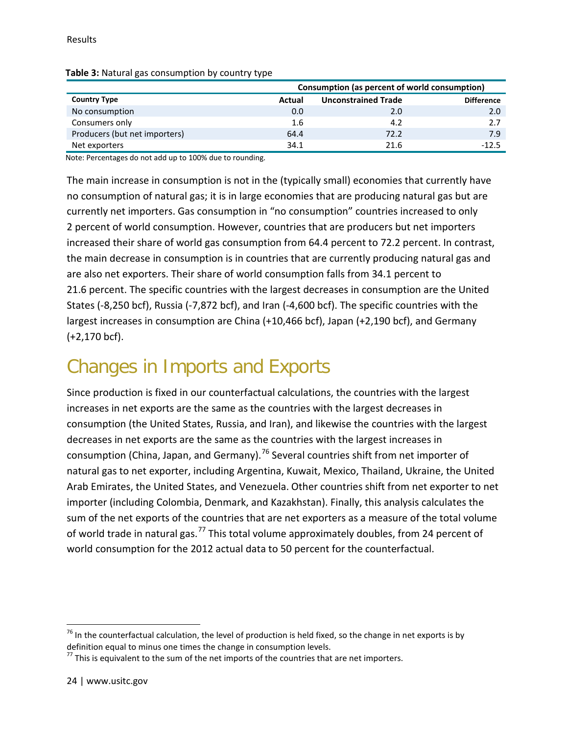|                               |         | Consumption (as percent of world consumption) |                   |  |  |
|-------------------------------|---------|-----------------------------------------------|-------------------|--|--|
| <b>Country Type</b>           | Actual  | <b>Unconstrained Trade</b>                    | <b>Difference</b> |  |  |
| No consumption                | 0.0     | 2.0                                           | 2.0               |  |  |
| Consumers only                | $1.6\,$ | 4.2                                           | 2.7               |  |  |
| Producers (but net importers) | 64.4    | 72.2                                          | 7.9               |  |  |
| Net exporters                 | 34.1    | 21.6                                          | -125              |  |  |

#### <span id="page-23-0"></span>**Table 3:** Natural gas consumption by country type

Note: Percentages do not add up to 100% due to rounding.

The main increase in consumption is not in the (typically small) economies that currently have no consumption of natural gas; it is in large economies that are producing natural gas but are currently net importers. Gas consumption in "no consumption" countries increased to only 2 percent of world consumption. However, countries that are producers but net importers increased their share of world gas consumption from 64.4 percent to 72.2 percent. In contrast, the main decrease in consumption is in countries that are currently producing natural gas and are also net exporters. Their share of world consumption falls from 34.1 percent to 21.6 percent. The specific countries with the largest decreases in consumption are the United States (-8,250 bcf), Russia (-7,872 bcf), and Iran (-4,600 bcf). The specific countries with the largest increases in consumption are China (+10,466 bcf), Japan (+2,190 bcf), and Germany (+2,170 bcf).

### Changes in Imports and Exports

Since production is fixed in our counterfactual calculations, the countries with the largest increases in net exports are the same as the countries with the largest decreases in consumption (the United States, Russia, and Iran), and likewise the countries with the largest decreases in net exports are the same as the countries with the largest increases in consumption (China, Japan, and Germany).<sup>[76](#page-23-1)</sup> Several countries shift from net importer of natural gas to net exporter, including Argentina, Kuwait, Mexico, Thailand, Ukraine, the United Arab Emirates, the United States, and Venezuela. Other countries shift from net exporter to net importer (including Colombia, Denmark, and Kazakhstan). Finally, this analysis calculates the sum of the net exports of the countries that are net exporters as a measure of the total volume of world trade in natural gas.<sup>[77](#page-23-2)</sup> This total volume approximately doubles, from 24 percent of world consumption for the 2012 actual data to 50 percent for the counterfactual.

l

<span id="page-23-1"></span> $76$  In the counterfactual calculation, the level of production is held fixed, so the change in net exports is by definition equal to minus one times the change in consumption levels.

<span id="page-23-2"></span> $77$  This is equivalent to the sum of the net imports of the countries that are net importers.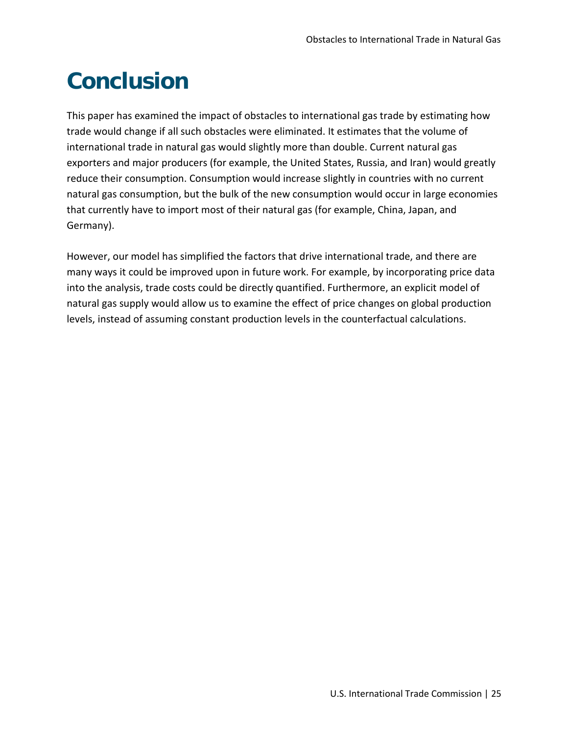# <span id="page-24-0"></span>**Conclusion**

This paper has examined the impact of obstacles to international gas trade by estimating how trade would change if all such obstacles were eliminated. It estimates that the volume of international trade in natural gas would slightly more than double. Current natural gas exporters and major producers (for example, the United States, Russia, and Iran) would greatly reduce their consumption. Consumption would increase slightly in countries with no current natural gas consumption, but the bulk of the new consumption would occur in large economies that currently have to import most of their natural gas (for example, China, Japan, and Germany).

However, our model has simplified the factors that drive international trade, and there are many ways it could be improved upon in future work. For example, by incorporating price data into the analysis, trade costs could be directly quantified. Furthermore, an explicit model of natural gas supply would allow us to examine the effect of price changes on global production levels, instead of assuming constant production levels in the counterfactual calculations.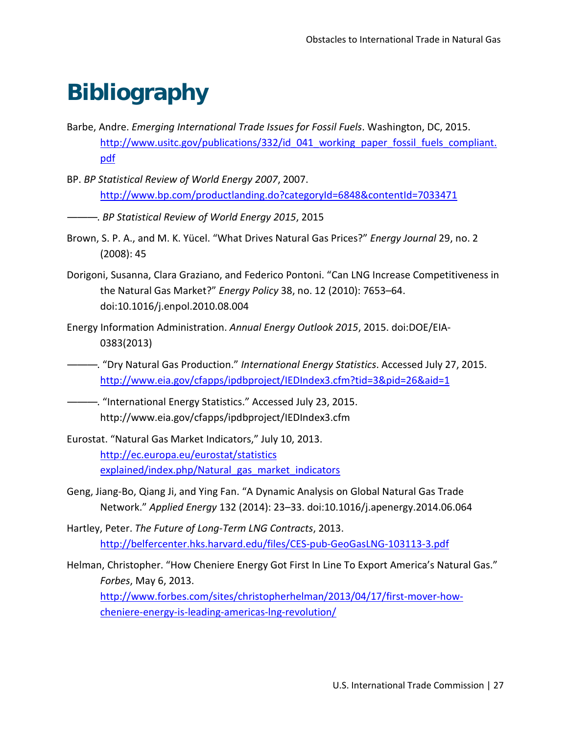# <span id="page-26-0"></span>**Bibliography**

- Barbe, Andre. *Emerging International Trade Issues for Fossil Fuels*. Washington, DC, 2015. http://www.usitc.gov/publications/332/id 041 working paper fossil fuels compliant. pdf
- BP. *BP Statistical Review of World Energy 2007*, 2007. http://www.bp.com/productlanding.do?categoryId=6848&contentId=7033471
- ———. *BP Statistical Review of World Energy 2015*, 2015
- Brown, S. P. A., and M. K. Yücel. "What Drives Natural Gas Prices?" *Energy Journal* 29, no. 2 (2008): 45
- Dorigoni, Susanna, Clara Graziano, and Federico Pontoni. "Can LNG Increase Competitiveness in the Natural Gas Market?" *Energy Policy* 38, no. 12 (2010): 7653–64. doi:10.1016/j.enpol.2010.08.004
- Energy Information Administration. *Annual Energy Outlook 2015*, 2015. doi:DOE/EIA-0383(2013)
- ———. "Dry Natural Gas Production." *International Energy Statistics*. Accessed July 27, 2015. http://www.eia.gov/cfapps/ipdbproject/IEDIndex3.cfm?tid=3&pid=26&aid=1
- ———. "International Energy Statistics." Accessed July 23, 2015. http://www.eia.gov/cfapps/ipdbproject/IEDIndex3.cfm
- Eurostat. "Natural Gas Market Indicators," July 10, 2013. http://ec.europa.eu/eurostat/statistics explained/index.php/Natural gas market indicators
- Geng, Jiang-Bo, Qiang Ji, and Ying Fan. "A Dynamic Analysis on Global Natural Gas Trade Network." *Applied Energy* 132 (2014): 23–33. doi:10.1016/j.apenergy.2014.06.064
- Hartley, Peter. *The Future of Long-Term LNG Contracts*, 2013. http://belfercenter.hks.harvard.edu/files/CES-pub-GeoGasLNG-103113-3.pdf
- Helman, Christopher. "How Cheniere Energy Got First In Line To Export America's Natural Gas." *Forbes*, May 6, 2013. http://www.forbes.com/sites/christopherhelman/2013/04/17/first-mover-howcheniere-energy-is-leading-americas-lng-revolution/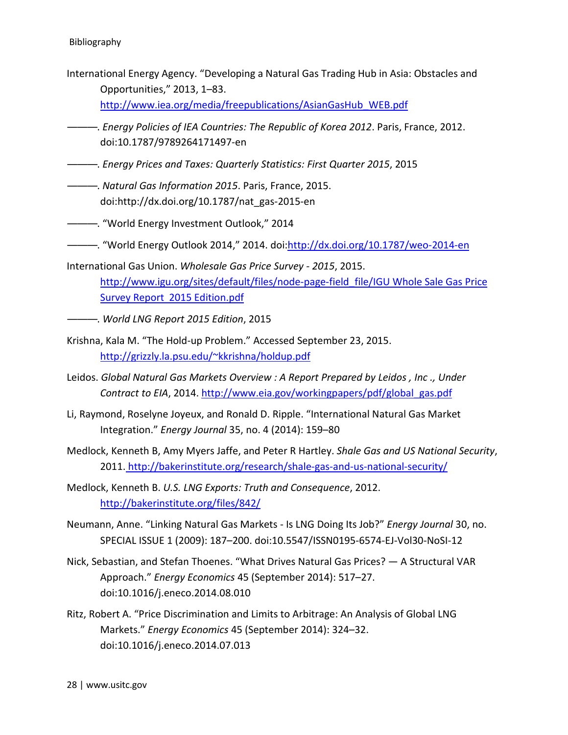- International Energy Agency. "Developing a Natural Gas Trading Hub in Asia: Obstacles and Opportunities," 2013, 1–83. http://www.iea.org/media/freepublications/AsianGasHub\_WEB.pdf
- ———. *Energy Policies of IEA Countries: The Republic of Korea 2012*. Paris, France, 2012. doi:10.1787/9789264171497-en
- ———. *Energy Prices and Taxes: Quarterly Statistics: First Quarter 2015*, 2015
- ———. *Natural Gas Information 2015*. Paris, France, 2015. doi:http://dx.doi.org/10.1787/nat\_gas-2015-en
- ———. "World Energy Investment Outlook," 2014
- ———. "World Energy Outlook 2014," 2014. doi:http://dx.doi.org/10.1787/weo-2014-en
- International Gas Union. *Wholesale Gas Price Survey 2015*, 2015. http://www.igu.org/sites/default/files/node-page-field\_file/IGU Whole Sale Gas Price Survey Report 2015 Edition.pdf
- ———. *World LNG Report 2015 Edition*, 2015
- Krishna, Kala M. "The Hold-up Problem." Accessed September 23, 2015. http://grizzly.la.psu.edu/~kkrishna/holdup.pdf
- Leidos. *Global Natural Gas Markets Overview : A Report Prepared by Leidos , Inc ., Under*  Contract to EIA, 2014. http://www.eia.gov/workingpapers/pdf/global\_gas.pdf
- Li, Raymond, Roselyne Joyeux, and Ronald D. Ripple. "International Natural Gas Market Integration." *Energy Journal* 35, no. 4 (2014): 159–80
- Medlock, Kenneth B, Amy Myers Jaffe, and Peter R Hartley. *Shale Gas and US National Security*, 2011. http://bakerinstitute.org/research/shale-gas-and-us-national-security/
- Medlock, Kenneth B. *U.S. LNG Exports: Truth and Consequence*, 2012. http://bakerinstitute.org/files/842/
- Neumann, Anne. "Linking Natural Gas Markets Is LNG Doing Its Job?" *Energy Journal* 30, no. SPECIAL ISSUE 1 (2009): 187–200. doi:10.5547/ISSN0195-6574-EJ-Vol30-NoSI-12
- Nick, Sebastian, and Stefan Thoenes. "What Drives Natural Gas Prices? A Structural VAR Approach." *Energy Economics* 45 (September 2014): 517–27. doi:10.1016/j.eneco.2014.08.010
- Ritz, Robert A. "Price Discrimination and Limits to Arbitrage: An Analysis of Global LNG Markets." *Energy Economics* 45 (September 2014): 324–32. doi:10.1016/j.eneco.2014.07.013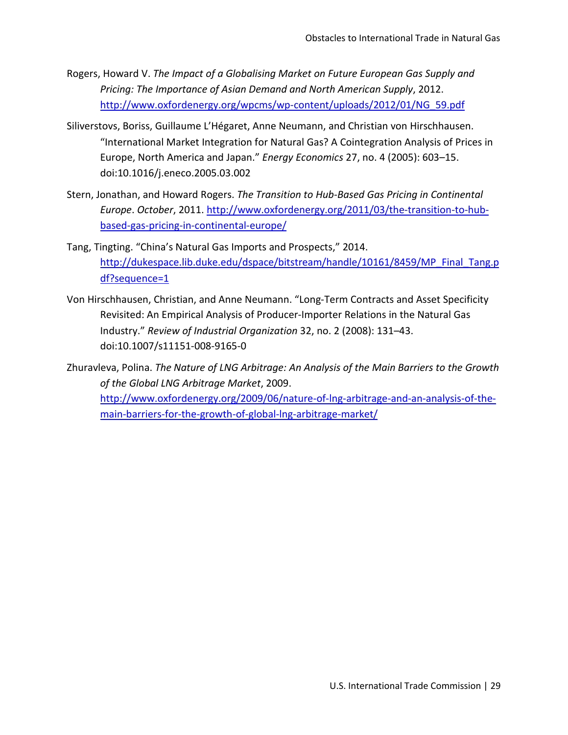- Rogers, Howard V. *The Impact of a Globalising Market on Future European Gas Supply and Pricing: The Importance of Asian Demand and North American Supply*, 2012. http://www.oxfordenergy.org/wpcms/wp-content/uploads/2012/01/NG\_59.pdf
- Siliverstovs, Boriss, Guillaume L'Hégaret, Anne Neumann, and Christian von Hirschhausen. "International Market Integration for Natural Gas? A Cointegration Analysis of Prices in Europe, North America and Japan." *Energy Economics* 27, no. 4 (2005): 603–15. doi:10.1016/j.eneco.2005.03.002
- Stern, Jonathan, and Howard Rogers. *The Transition to Hub-Based Gas Pricing in Continental Europe*. *October*, 2011. http://www.oxfordenergy.org/2011/03/the-transition-to-hubbased-gas-pricing-in-continental-europe/
- Tang, Tingting. "China's Natural Gas Imports and Prospects," 2014. http://dukespace.lib.duke.edu/dspace/bitstream/handle/10161/8459/MP\_Final\_Tang.p df?sequence=1
- Von Hirschhausen, Christian, and Anne Neumann. "Long-Term Contracts and Asset Specificity Revisited: An Empirical Analysis of Producer-Importer Relations in the Natural Gas Industry." *Review of Industrial Organization* 32, no. 2 (2008): 131–43. doi:10.1007/s11151-008-9165-0
- Zhuravleva, Polina. *The Nature of LNG Arbitrage: An Analysis of the Main Barriers to the Growth of the Global LNG Arbitrage Market*, 2009. http://www.oxfordenergy.org/2009/06/nature-of-lng-arbitrage-and-an-analysis-of-themain-barriers-for-the-growth-of-global-lng-arbitrage-market/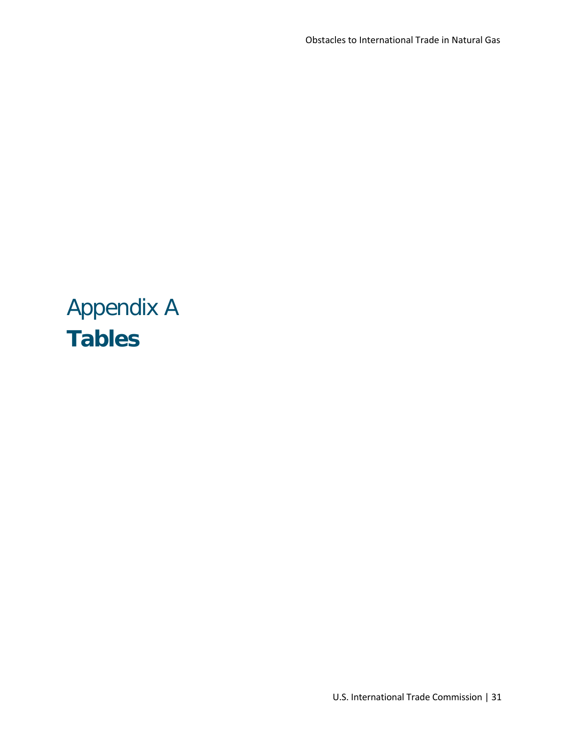# <span id="page-30-0"></span>Appendix A **Tables**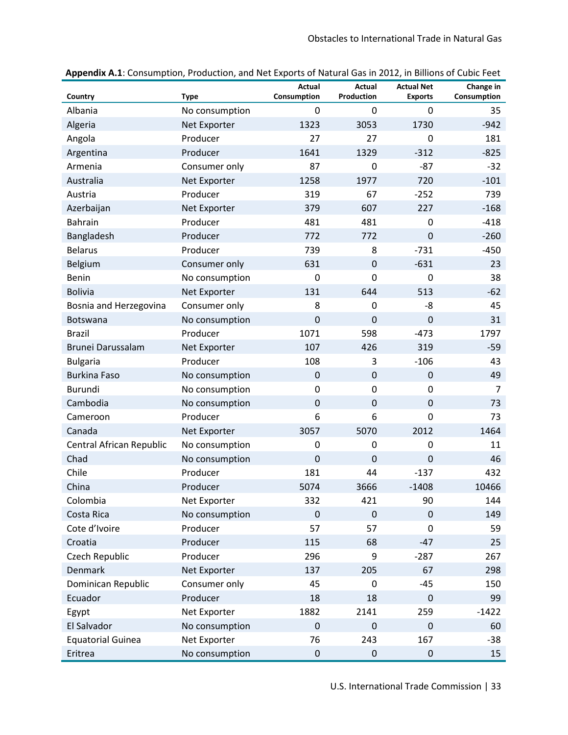| Country                  | <b>Type</b>    | Actual<br>Consumption | Actual<br>Production | <b>Actual Net</b><br><b>Exports</b> | Change in<br>Consumption |
|--------------------------|----------------|-----------------------|----------------------|-------------------------------------|--------------------------|
| Albania                  | No consumption | 0                     | 0                    | 0                                   | 35                       |
| Algeria                  | Net Exporter   | 1323                  | 3053                 | 1730                                | $-942$                   |
| Angola                   | Producer       | 27                    | 27                   | 0                                   | 181                      |
| Argentina                | Producer       | 1641                  | 1329                 | $-312$                              | $-825$                   |
| Armenia                  | Consumer only  | 87                    | $\mathbf 0$          | $-87$                               | $-32$                    |
| Australia                | Net Exporter   | 1258                  | 1977                 | 720                                 | $-101$                   |
| Austria                  | Producer       | 319                   | 67                   | $-252$                              | 739                      |
| Azerbaijan               | Net Exporter   | 379                   | 607                  | 227                                 | $-168$                   |
| Bahrain                  | Producer       | 481                   | 481                  | 0                                   | $-418$                   |
| Bangladesh               | Producer       | 772                   | 772                  | 0                                   | $-260$                   |
| <b>Belarus</b>           | Producer       | 739                   | 8                    | $-731$                              | $-450$                   |
| Belgium                  | Consumer only  | 631                   | $\mathbf 0$          | $-631$                              | 23                       |
| <b>Benin</b>             | No consumption | 0                     | $\mathbf 0$          | 0                                   | 38                       |
| <b>Bolivia</b>           | Net Exporter   | 131                   | 644                  | 513                                 | $-62$                    |
| Bosnia and Herzegovina   | Consumer only  | 8                     | 0                    | -8                                  | 45                       |
| <b>Botswana</b>          | No consumption | $\mathbf 0$           | $\overline{0}$       | $\mathbf 0$                         | 31                       |
| <b>Brazil</b>            | Producer       | 1071                  | 598                  | $-473$                              | 1797                     |
| Brunei Darussalam        | Net Exporter   | 107                   | 426                  | 319                                 | $-59$                    |
| <b>Bulgaria</b>          | Producer       | 108                   | 3                    | $-106$                              | 43                       |
| <b>Burkina Faso</b>      | No consumption | $\mathbf 0$           | $\mathbf 0$          | $\mathbf 0$                         | 49                       |
| <b>Burundi</b>           | No consumption | 0                     | 0                    | 0                                   | $\overline{7}$           |
| Cambodia                 | No consumption | $\mathbf 0$           | $\mathbf 0$          | $\boldsymbol{0}$                    | 73                       |
| Cameroon                 | Producer       | 6                     | 6                    | 0                                   | 73                       |
| Canada                   | Net Exporter   | 3057                  | 5070                 | 2012                                | 1464                     |
| Central African Republic | No consumption | 0                     | 0                    | 0                                   | 11                       |
| Chad                     | No consumption | $\mathbf 0$           | $\mathbf 0$          | 0                                   | 46                       |
| Chile                    | Producer       | 181                   | 44                   | $-137$                              | 432                      |
| China                    | Producer       | 5074                  | 3666                 | $-1408$                             | 10466                    |
| Colombia                 | Net Exporter   | 332                   | 421                  | 90                                  | 144                      |
| Costa Rica               | No consumption | $\mathbf 0$           | $\overline{0}$       | $\mathbf 0$                         | 149                      |
| Cote d'Ivoire            | Producer       | 57                    | 57                   | 0                                   | 59                       |
| Croatia                  | Producer       | 115                   | 68                   | $-47$                               | 25                       |
| Czech Republic           | Producer       | 296                   | 9                    | $-287$                              | 267                      |
| Denmark                  | Net Exporter   | 137                   | 205                  | 67                                  | 298                      |
| Dominican Republic       | Consumer only  | 45                    | 0                    | $-45$                               | 150                      |
| Ecuador                  | Producer       | 18                    | 18                   | $\boldsymbol{0}$                    | 99                       |
| Egypt                    | Net Exporter   | 1882                  | 2141                 | 259                                 | $-1422$                  |
| El Salvador              | No consumption | $\mathbf 0$           | $\mathbf 0$          | $\mathbf 0$                         | 60                       |
| <b>Equatorial Guinea</b> | Net Exporter   | 76                    | 243                  | 167                                 | $-38$                    |
| Eritrea                  | No consumption | $\boldsymbol{0}$      | $\boldsymbol{0}$     | $\pmb{0}$                           | 15                       |

**Appendix A.1**: Consumption, Production, and Net Exports of Natural Gas in 2012, in Billions of Cubic Feet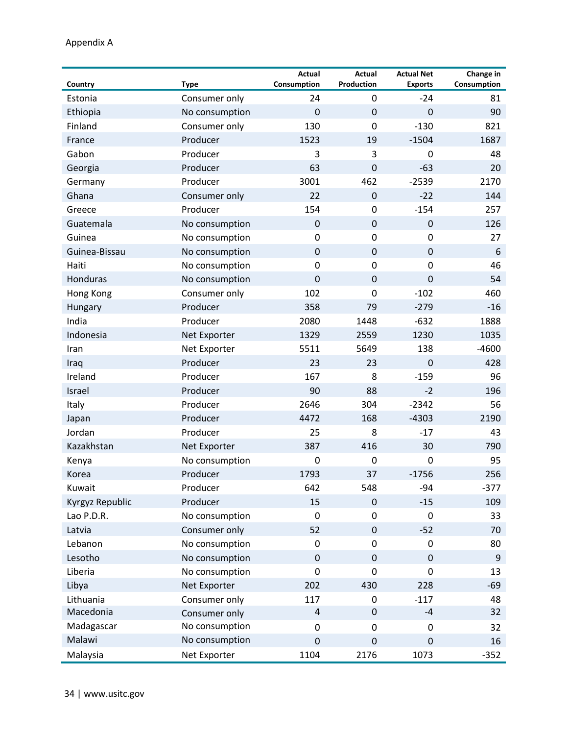#### Appendix A

| Country         | <b>Type</b>    | Actual<br>Consumption | <b>Actual</b><br><b>Production</b> | <b>Actual Net</b><br><b>Exports</b> | Change in<br>Consumption |
|-----------------|----------------|-----------------------|------------------------------------|-------------------------------------|--------------------------|
| Estonia         | Consumer only  | 24                    | 0                                  | $-24$                               | 81                       |
| Ethiopia        | No consumption | $\mathbf 0$           | $\mathbf 0$                        | $\mathbf 0$                         | 90                       |
| Finland         | Consumer only  | 130                   | $\mathbf 0$                        | $-130$                              | 821                      |
| France          | Producer       | 1523                  | 19                                 | $-1504$                             | 1687                     |
| Gabon           | Producer       | 3                     | 3                                  | 0                                   | 48                       |
| Georgia         | Producer       | 63                    | $\mathbf 0$                        | $-63$                               | 20                       |
| Germany         | Producer       | 3001                  | 462                                | $-2539$                             | 2170                     |
| Ghana           | Consumer only  | 22                    | $\mathbf 0$                        | $-22$                               | 144                      |
| Greece          | Producer       | 154                   | 0                                  | $-154$                              | 257                      |
| Guatemala       | No consumption | $\boldsymbol{0}$      | $\boldsymbol{0}$                   | $\boldsymbol{0}$                    | 126                      |
| Guinea          | No consumption | $\mathbf 0$           | 0                                  | 0                                   | 27                       |
| Guinea-Bissau   | No consumption | $\boldsymbol{0}$      | $\mathbf 0$                        | $\boldsymbol{0}$                    | 6                        |
| Haiti           | No consumption | $\boldsymbol{0}$      | 0                                  | 0                                   | 46                       |
| <b>Honduras</b> | No consumption | $\mathbf 0$           | $\mathbf 0$                        | $\boldsymbol{0}$                    | 54                       |
| Hong Kong       | Consumer only  | 102                   | $\overline{0}$                     | $-102$                              | 460                      |
| Hungary         | Producer       | 358                   | 79                                 | $-279$                              | $-16$                    |
| India           | Producer       | 2080                  | 1448                               | $-632$                              | 1888                     |
| Indonesia       | Net Exporter   | 1329                  | 2559                               | 1230                                | 1035                     |
| Iran            | Net Exporter   | 5511                  | 5649                               | 138                                 | $-4600$                  |
| Iraq            | Producer       | 23                    | 23                                 | $\overline{0}$                      | 428                      |
| Ireland         | Producer       | 167                   | 8                                  | $-159$                              | 96                       |
| Israel          | Producer       | 90                    | 88                                 | $-2$                                | 196                      |
| Italy           | Producer       | 2646                  | 304                                | $-2342$                             | 56                       |
| Japan           | Producer       | 4472                  | 168                                | $-4303$                             | 2190                     |
| Jordan          | Producer       | 25                    | 8                                  | $-17$                               | 43                       |
| Kazakhstan      | Net Exporter   | 387                   | 416                                | 30                                  | 790                      |
| Kenya           | No consumption | $\mathbf 0$           | 0                                  | 0                                   | 95                       |
| Korea           | Producer       | 1793                  | 37                                 | $-1756$                             | 256                      |
| Kuwait          | Producer       | 642                   | 548                                | $-94$                               | $-377$                   |
| Kyrgyz Republic | Producer       | 15                    | $\mathbf 0$                        | $-15$                               | 109                      |
| Lao P.D.R.      | No consumption | $\boldsymbol{0}$      | 0                                  | $\boldsymbol{0}$                    | 33                       |
| Latvia          | Consumer only  | 52                    | $\pmb{0}$                          | $-52$                               | 70                       |
| Lebanon         | No consumption | $\pmb{0}$             | 0                                  | 0                                   | 80                       |
| Lesotho         | No consumption | $\mathbf 0$           | $\mathbf 0$                        | $\pmb{0}$                           | 9                        |
| Liberia         | No consumption | $\pmb{0}$             | 0                                  | 0                                   | 13                       |
| Libya           | Net Exporter   | 202                   | 430                                | 228                                 | $-69$                    |
| Lithuania       | Consumer only  | 117                   | 0                                  | $-117$                              | 48                       |
| Macedonia       | Consumer only  | 4                     | $\boldsymbol{0}$                   | $-4$                                | 32                       |
| Madagascar      | No consumption | 0                     | 0                                  | 0                                   | 32                       |
| Malawi          | No consumption | 0                     | $\boldsymbol{0}$                   | $\pmb{0}$                           | 16                       |
| Malaysia        | Net Exporter   | 1104                  | 2176                               | 1073                                | $-352$                   |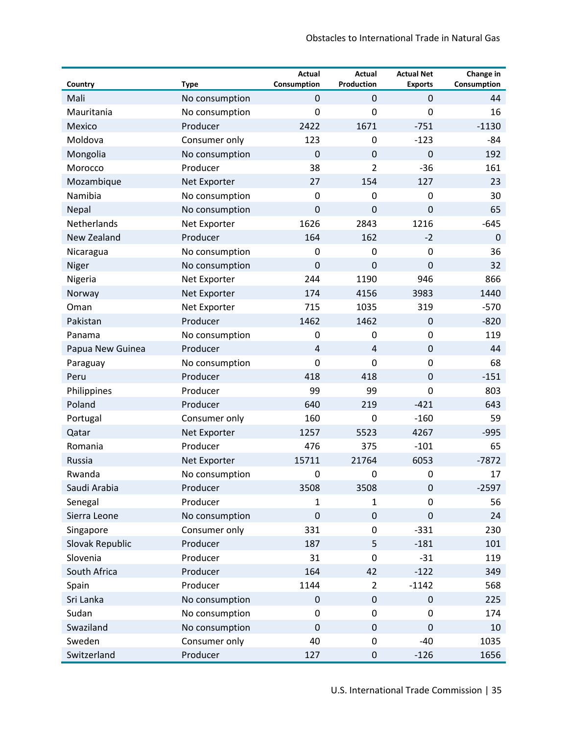| Country          | <b>Type</b>    | Actual<br>Consumption | Actual<br><b>Production</b> | <b>Actual Net</b><br><b>Exports</b> | Change in<br>Consumption |
|------------------|----------------|-----------------------|-----------------------------|-------------------------------------|--------------------------|
| Mali             | No consumption | $\mathbf 0$           | $\mathbf 0$                 | $\mathbf 0$                         | 44                       |
| Mauritania       | No consumption | 0                     | $\mathbf 0$                 | 0                                   | 16                       |
| Mexico           | Producer       | 2422                  | 1671                        | $-751$                              | $-1130$                  |
| Moldova          | Consumer only  | 123                   | 0                           | $-123$                              | -84                      |
| Mongolia         | No consumption | $\mathbf 0$           | $\mathbf 0$                 | $\mathbf 0$                         | 192                      |
| Morocco          | Producer       | 38                    | $\overline{2}$              | $-36$                               | 161                      |
| Mozambique       | Net Exporter   | 27                    | 154                         | 127                                 | 23                       |
| Namibia          | No consumption | $\mathbf 0$           | 0                           | $\mathbf 0$                         | 30                       |
| Nepal            | No consumption | $\mathbf 0$           | $\mathbf 0$                 | $\mathbf 0$                         | 65                       |
| Netherlands      | Net Exporter   | 1626                  | 2843                        | 1216                                | $-645$                   |
| New Zealand      | Producer       | 164                   | 162                         | $-2$                                | $\mathbf 0$              |
| Nicaragua        | No consumption | 0                     | 0                           | $\mathbf 0$                         | 36                       |
| Niger            | No consumption | $\mathbf 0$           | $\mathbf 0$                 | $\mathbf 0$                         | 32                       |
| Nigeria          | Net Exporter   | 244                   | 1190                        | 946                                 | 866                      |
| Norway           | Net Exporter   | 174                   | 4156                        | 3983                                | 1440                     |
| Oman             | Net Exporter   | 715                   | 1035                        | 319                                 | $-570$                   |
| Pakistan         | Producer       | 1462                  | 1462                        | $\mathbf 0$                         | $-820$                   |
| Panama           | No consumption | 0                     | 0                           | $\mathbf 0$                         | 119                      |
| Papua New Guinea | Producer       | $\overline{4}$        | $\overline{4}$              | $\mathbf 0$                         | 44                       |
| Paraguay         | No consumption | 0                     | $\mathbf 0$                 | $\mathbf 0$                         | 68                       |
| Peru             | Producer       | 418                   | 418                         | $\mathbf 0$                         | $-151$                   |
| Philippines      | Producer       | 99                    | 99                          | 0                                   | 803                      |
| Poland           | Producer       | 640                   | 219                         | $-421$                              | 643                      |
| Portugal         | Consumer only  | 160                   | 0                           | $-160$                              | 59                       |
| Qatar            | Net Exporter   | 1257                  | 5523                        | 4267                                | $-995$                   |
| Romania          | Producer       | 476                   | 375                         | $-101$                              | 65                       |
| Russia           | Net Exporter   | 15711                 | 21764                       | 6053                                | $-7872$                  |
| Rwanda           | No consumption | 0                     | 0                           | $\mathbf 0$                         | 17                       |
| Saudi Arabia     | Producer       | 3508                  | 3508                        | $\pmb{0}$                           | $-2597$                  |
| Senegal          | Producer       | 1                     | 1                           | 0                                   | 56                       |
| Sierra Leone     | No consumption | $\pmb{0}$             | $\boldsymbol{0}$            | $\boldsymbol{0}$                    | 24                       |
| Singapore        | Consumer only  | 331                   | $\mathbf 0$                 | $-331$                              | 230                      |
| Slovak Republic  | Producer       | 187                   | 5                           | $-181$                              | 101                      |
| Slovenia         | Producer       | 31                    | 0                           | $-31$                               | 119                      |
| South Africa     | Producer       | 164                   | 42                          | $-122$                              | 349                      |
| Spain            | Producer       | 1144                  | $\overline{2}$              | $-1142$                             | 568                      |
| Sri Lanka        | No consumption | $\pmb{0}$             | $\pmb{0}$                   | $\pmb{0}$                           | 225                      |
| Sudan            | No consumption | 0                     | 0                           | $\mathbf 0$                         | 174                      |
| Swaziland        | No consumption | $\mathbf 0$           | $\pmb{0}$                   | $\boldsymbol{0}$                    | 10                       |
| Sweden           | Consumer only  | 40                    | $\pmb{0}$                   | $-40$                               | 1035                     |
| Switzerland      | Producer       | 127                   | $\boldsymbol{0}$            | $-126$                              | 1656                     |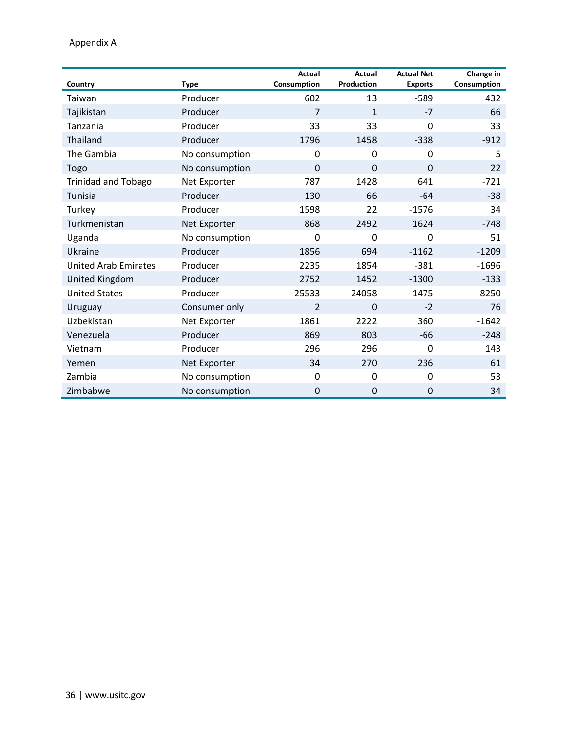Appendix A

| Country                     | <b>Type</b>    | Actual<br>Consumption | Actual<br><b>Production</b> | <b>Actual Net</b><br><b>Exports</b> | Change in<br>Consumption |
|-----------------------------|----------------|-----------------------|-----------------------------|-------------------------------------|--------------------------|
| Taiwan                      | Producer       | 602                   | 13                          | $-589$                              | 432                      |
| Tajikistan                  | Producer       | $\overline{7}$        | $\mathbf{1}$                | $-7$                                | 66                       |
| Tanzania                    | Producer       | 33                    | 33                          | 0                                   | 33                       |
| <b>Thailand</b>             | Producer       | 1796                  | 1458                        | $-338$                              | $-912$                   |
| The Gambia                  | No consumption | $\Omega$              | $\Omega$                    | $\mathbf{0}$                        | 5                        |
| Togo                        | No consumption | $\overline{0}$        | $\mathbf{0}$                | $\mathbf 0$                         | 22                       |
| <b>Trinidad and Tobago</b>  | Net Exporter   | 787                   | 1428                        | 641                                 | $-721$                   |
| Tunisia                     | Producer       | 130                   | 66                          | $-64$                               | $-38$                    |
| Turkey                      | Producer       | 1598                  | 22                          | $-1576$                             | 34                       |
| Turkmenistan                | Net Exporter   | 868                   | 2492                        | 1624                                | $-748$                   |
| Uganda                      | No consumption | $\Omega$              | $\Omega$                    | 0                                   | 51                       |
| Ukraine                     | Producer       | 1856                  | 694                         | $-1162$                             | $-1209$                  |
| <b>United Arab Emirates</b> | Producer       | 2235                  | 1854                        | $-381$                              | $-1696$                  |
| United Kingdom              | Producer       | 2752                  | 1452                        | $-1300$                             | $-133$                   |
| <b>United States</b>        | Producer       | 25533                 | 24058                       | $-1475$                             | $-8250$                  |
| Uruguay                     | Consumer only  | $\overline{2}$        | $\Omega$                    | $-2$                                | 76                       |
| Uzbekistan                  | Net Exporter   | 1861                  | 2222                        | 360                                 | $-1642$                  |
| Venezuela                   | Producer       | 869                   | 803                         | $-66$                               | $-248$                   |
| Vietnam                     | Producer       | 296                   | 296                         | $\mathbf 0$                         | 143                      |
| Yemen                       | Net Exporter   | 34                    | 270                         | 236                                 | 61                       |
| Zambia                      | No consumption | $\Omega$              | $\Omega$                    | 0                                   | 53                       |
| Zimbabwe                    | No consumption | $\mathbf 0$           | $\mathbf 0$                 | $\mathbf 0$                         | 34                       |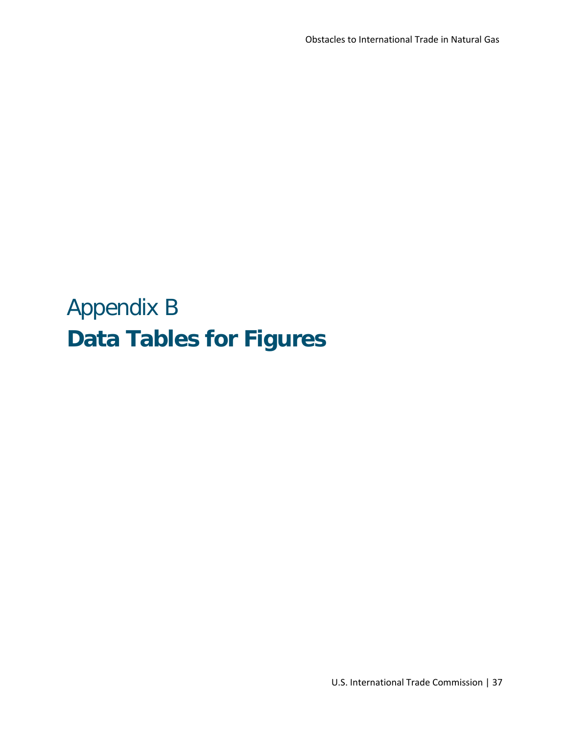# <span id="page-36-0"></span>Appendix B **Data Tables for Figures**